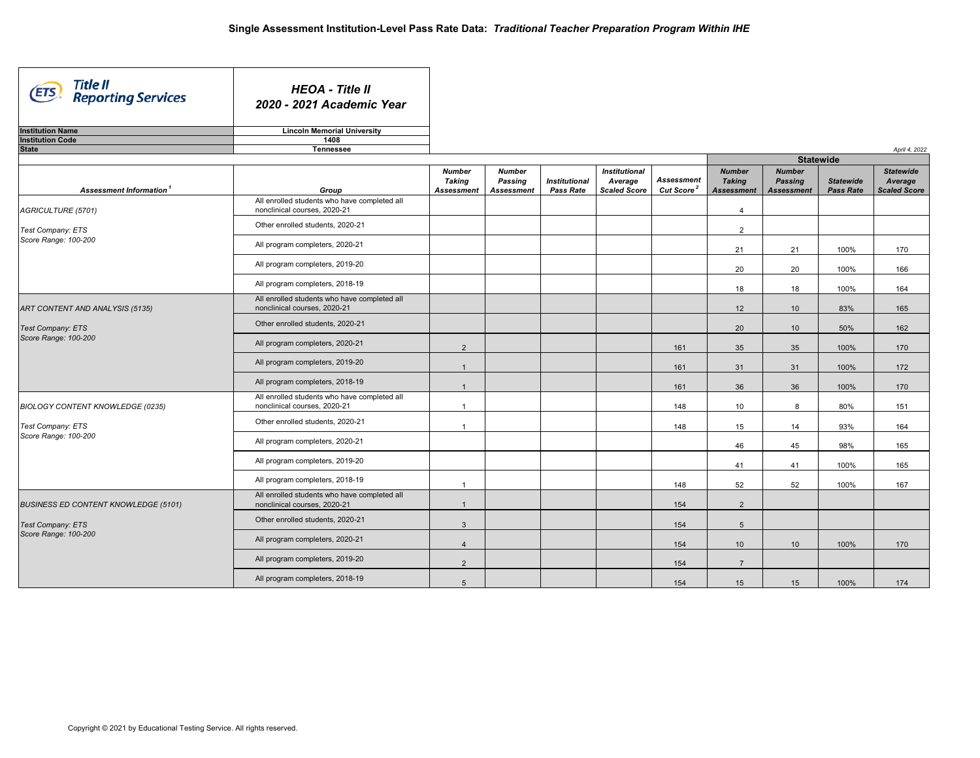| Title II<br>Reporting Services<br><b>ETS</b> | <b>HEOA - Title II</b><br>2020 - 2021 Academic Year                          |                                                     |                                               |                                          |                                                        |                                      |                                                     |                                                      |                                      |                                                    |
|----------------------------------------------|------------------------------------------------------------------------------|-----------------------------------------------------|-----------------------------------------------|------------------------------------------|--------------------------------------------------------|--------------------------------------|-----------------------------------------------------|------------------------------------------------------|--------------------------------------|----------------------------------------------------|
| <b>Institution Name</b>                      | <b>Lincoln Memorial University</b>                                           |                                                     |                                               |                                          |                                                        |                                      |                                                     |                                                      |                                      |                                                    |
| <b>Institution Code</b><br><b>State</b>      | 1408<br><b>Tennessee</b>                                                     |                                                     |                                               |                                          |                                                        |                                      |                                                     |                                                      |                                      | April 4, 2022                                      |
|                                              |                                                                              |                                                     |                                               |                                          |                                                        |                                      |                                                     | <b>Statewide</b>                                     |                                      |                                                    |
| Assessment Information <sup>1</sup>          | Group                                                                        | <b>Number</b><br><b>Taking</b><br><b>Assessment</b> | <b>Number</b><br>Passing<br><b>Assessment</b> | <b>Institutional</b><br><b>Pass Rate</b> | <b>Institutional</b><br>Average<br><b>Scaled Score</b> | Assessment<br>Cut Score <sup>2</sup> | <b>Number</b><br><b>Taking</b><br><b>Assessment</b> | <b>Number</b><br><b>Passing</b><br><b>Assessment</b> | <b>Statewide</b><br><b>Pass Rate</b> | <b>Statewide</b><br>Average<br><b>Scaled Score</b> |
| AGRICULTURE (5701)                           | All enrolled students who have completed all<br>nonclinical courses, 2020-21 |                                                     |                                               |                                          |                                                        |                                      | $\overline{4}$                                      |                                                      |                                      |                                                    |
| Test Company: ETS                            | Other enrolled students, 2020-21                                             |                                                     |                                               |                                          |                                                        |                                      | $\overline{2}$                                      |                                                      |                                      |                                                    |
| Score Range: 100-200                         | All program completers, 2020-21                                              |                                                     |                                               |                                          |                                                        |                                      | 21                                                  | 21                                                   | 100%                                 | 170                                                |
|                                              | All program completers, 2019-20                                              |                                                     |                                               |                                          |                                                        |                                      | 20                                                  | 20                                                   | 100%                                 | 166                                                |
|                                              | All program completers, 2018-19                                              |                                                     |                                               |                                          |                                                        |                                      | 18                                                  | 18                                                   | 100%                                 | 164                                                |
| ART CONTENT AND ANALYSIS (5135)              | All enrolled students who have completed all<br>nonclinical courses, 2020-21 |                                                     |                                               |                                          |                                                        |                                      | 12                                                  | 10                                                   | 83%                                  | 165                                                |
| Test Company: ETS                            | Other enrolled students, 2020-21                                             |                                                     |                                               |                                          |                                                        |                                      | 20                                                  | 10                                                   | 50%                                  | 162                                                |
| Score Range: 100-200                         | All program completers, 2020-21                                              | 2                                                   |                                               |                                          |                                                        | 161                                  | 35                                                  | 35                                                   | 100%                                 | 170                                                |
|                                              | All program completers, 2019-20                                              | $\overline{1}$                                      |                                               |                                          |                                                        | 161                                  | 31                                                  | 31                                                   | 100%                                 | 172                                                |
|                                              | All program completers, 2018-19                                              | $\overline{1}$                                      |                                               |                                          |                                                        | 161                                  | 36                                                  | 36                                                   | 100%                                 | 170                                                |
| BIOLOGY CONTENT KNOWLEDGE (0235)             | All enrolled students who have completed all<br>nonclinical courses, 2020-21 | $\overline{1}$                                      |                                               |                                          |                                                        | 148                                  | 10                                                  | 8                                                    | 80%                                  | 151                                                |
| Test Company: ETS<br>Score Range: 100-200    | Other enrolled students, 2020-21                                             | $\overline{1}$                                      |                                               |                                          |                                                        | 148                                  | 15                                                  | 14                                                   | 93%                                  | 164                                                |
|                                              | All program completers, 2020-21                                              |                                                     |                                               |                                          |                                                        |                                      | 46                                                  | 45                                                   | 98%                                  | 165                                                |
|                                              | All program completers, 2019-20                                              |                                                     |                                               |                                          |                                                        |                                      | 41                                                  | 41                                                   | 100%                                 | 165                                                |
|                                              | All program completers, 2018-19                                              | $\overline{1}$                                      |                                               |                                          |                                                        | 148                                  | 52                                                  | 52                                                   | 100%                                 | 167                                                |
| <b>BUSINESS ED CONTENT KNOWLEDGE (5101)</b>  | All enrolled students who have completed all<br>nonclinical courses, 2020-21 | $\overline{1}$                                      |                                               |                                          |                                                        | 154                                  | 2                                                   |                                                      |                                      |                                                    |
| Test Company: ETS                            | Other enrolled students, 2020-21                                             | $\mathbf{3}$                                        |                                               |                                          |                                                        | 154                                  | $5\phantom{.0}$                                     |                                                      |                                      |                                                    |
| Score Range: 100-200                         | All program completers, 2020-21                                              | $\overline{4}$                                      |                                               |                                          |                                                        | 154                                  | 10                                                  | 10                                                   | 100%                                 | 170                                                |
|                                              | All program completers, 2019-20                                              | 2                                                   |                                               |                                          |                                                        | 154                                  | $\overline{7}$                                      |                                                      |                                      |                                                    |
|                                              | All program completers, 2018-19                                              | 5                                                   |                                               |                                          |                                                        | 154                                  | 15                                                  | 15                                                   | 100%                                 | 174                                                |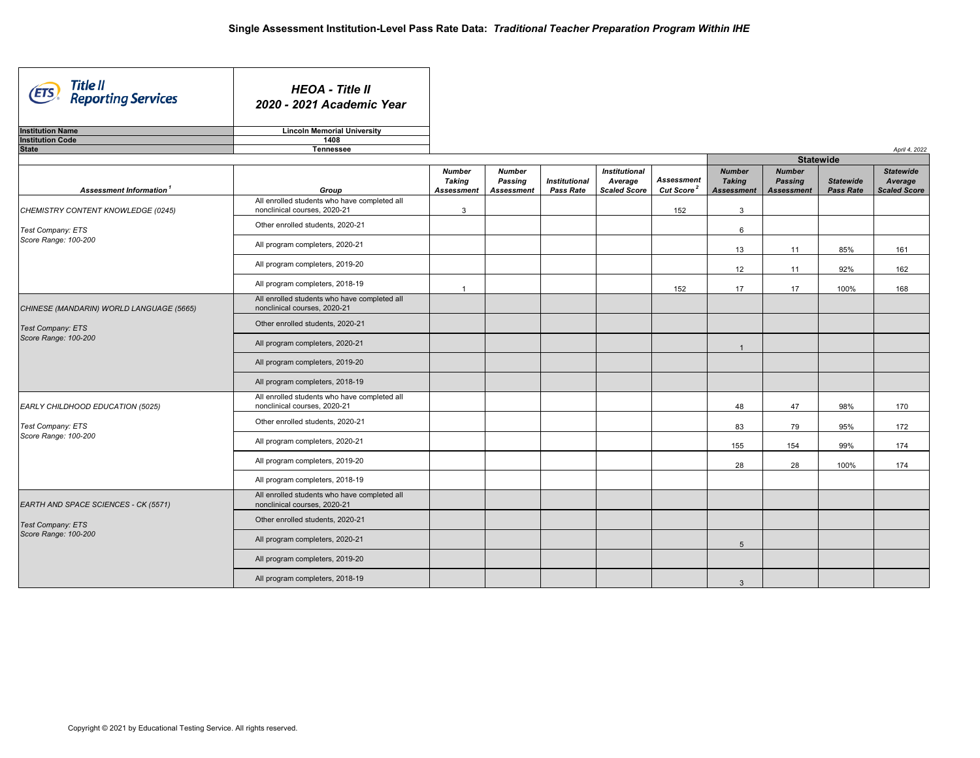| Title II<br>Reporting Services<br>(ETS   | <b>HEOA - Title II</b><br>2020 - 2021 Academic Year                          |                                              |                                               |                                          |                                                        |                                             |                                                     |                                                      |                                      |                                                    |
|------------------------------------------|------------------------------------------------------------------------------|----------------------------------------------|-----------------------------------------------|------------------------------------------|--------------------------------------------------------|---------------------------------------------|-----------------------------------------------------|------------------------------------------------------|--------------------------------------|----------------------------------------------------|
| <b>Institution Name</b>                  | <b>Lincoln Memorial University</b>                                           |                                              |                                               |                                          |                                                        |                                             |                                                     |                                                      |                                      |                                                    |
| <b>Institution Code</b><br><b>State</b>  | 1408<br><b>Tennessee</b>                                                     |                                              |                                               |                                          |                                                        |                                             |                                                     |                                                      |                                      | April 4, 2022                                      |
|                                          |                                                                              |                                              |                                               |                                          |                                                        |                                             |                                                     | <b>Statewide</b>                                     |                                      |                                                    |
| Assessment Information <sup>1</sup>      | Group                                                                        | <b>Number</b><br><b>Taking</b><br>Assessment | <b>Number</b><br>Passing<br><b>Assessment</b> | <b>Institutional</b><br><b>Pass Rate</b> | <b>Institutional</b><br>Average<br><b>Scaled Score</b> | <b>Assessment</b><br>Cut Score <sup>2</sup> | <b>Number</b><br><b>Taking</b><br><b>Assessment</b> | <b>Number</b><br><b>Passing</b><br><b>Assessment</b> | <b>Statewide</b><br><b>Pass Rate</b> | <b>Statewide</b><br>Average<br><b>Scaled Score</b> |
| CHEMISTRY CONTENT KNOWLEDGE (0245)       | All enrolled students who have completed all<br>nonclinical courses, 2020-21 | 3                                            |                                               |                                          |                                                        | 152                                         | 3                                                   |                                                      |                                      |                                                    |
| Test Company: ETS                        | Other enrolled students, 2020-21                                             |                                              |                                               |                                          |                                                        |                                             | 6                                                   |                                                      |                                      |                                                    |
| Score Range: 100-200                     | All program completers, 2020-21                                              |                                              |                                               |                                          |                                                        |                                             | 13                                                  | 11                                                   | 85%                                  | 161                                                |
|                                          | All program completers, 2019-20                                              |                                              |                                               |                                          |                                                        |                                             | 12                                                  | 11                                                   | 92%                                  | 162                                                |
|                                          | All program completers, 2018-19                                              | $\overline{1}$                               |                                               |                                          |                                                        | 152                                         | 17                                                  | 17                                                   | 100%                                 | 168                                                |
| CHINESE (MANDARIN) WORLD LANGUAGE (5665) | All enrolled students who have completed all<br>nonclinical courses, 2020-21 |                                              |                                               |                                          |                                                        |                                             |                                                     |                                                      |                                      |                                                    |
| Test Company: ETS                        | Other enrolled students, 2020-21                                             |                                              |                                               |                                          |                                                        |                                             |                                                     |                                                      |                                      |                                                    |
| Score Range: 100-200                     | All program completers, 2020-21                                              |                                              |                                               |                                          |                                                        |                                             | $\mathbf{1}$                                        |                                                      |                                      |                                                    |
|                                          | All program completers, 2019-20                                              |                                              |                                               |                                          |                                                        |                                             |                                                     |                                                      |                                      |                                                    |
|                                          | All program completers, 2018-19                                              |                                              |                                               |                                          |                                                        |                                             |                                                     |                                                      |                                      |                                                    |
| EARLY CHILDHOOD EDUCATION (5025)         | All enrolled students who have completed all<br>nonclinical courses, 2020-21 |                                              |                                               |                                          |                                                        |                                             | 48                                                  | 47                                                   | 98%                                  | 170                                                |
| Test Company: ETS                        | Other enrolled students, 2020-21                                             |                                              |                                               |                                          |                                                        |                                             | 83                                                  | 79                                                   | 95%                                  | 172                                                |
| Score Range: 100-200                     | All program completers, 2020-21                                              |                                              |                                               |                                          |                                                        |                                             | 155                                                 | 154                                                  | 99%                                  | 174                                                |
|                                          | All program completers, 2019-20                                              |                                              |                                               |                                          |                                                        |                                             | 28                                                  | 28                                                   | 100%                                 | 174                                                |
|                                          | All program completers, 2018-19                                              |                                              |                                               |                                          |                                                        |                                             |                                                     |                                                      |                                      |                                                    |
| EARTH AND SPACE SCIENCES - CK (5571)     | All enrolled students who have completed all<br>nonclinical courses, 2020-21 |                                              |                                               |                                          |                                                        |                                             |                                                     |                                                      |                                      |                                                    |
| Test Company: ETS                        | Other enrolled students, 2020-21                                             |                                              |                                               |                                          |                                                        |                                             |                                                     |                                                      |                                      |                                                    |
| Score Range: 100-200                     | All program completers, 2020-21                                              |                                              |                                               |                                          |                                                        |                                             | 5                                                   |                                                      |                                      |                                                    |
|                                          | All program completers, 2019-20                                              |                                              |                                               |                                          |                                                        |                                             |                                                     |                                                      |                                      |                                                    |
|                                          | All program completers, 2018-19                                              |                                              |                                               |                                          |                                                        |                                             | $\mathbf{3}$                                        |                                                      |                                      |                                                    |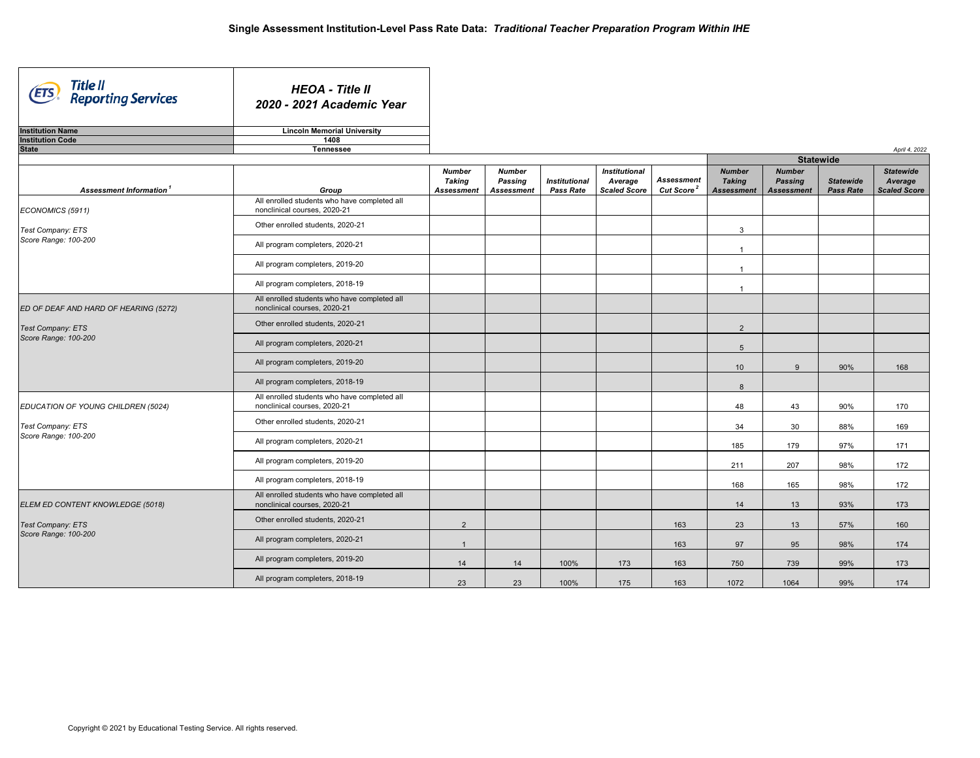| Title II<br>Reporting Services<br>(ETS | <b>HEOA - Title II</b><br>2020 - 2021 Academic Year                          |                                              |                                               |                                          |                                                        |                                             |                                                     |                                                      |                                      |                                                    |
|----------------------------------------|------------------------------------------------------------------------------|----------------------------------------------|-----------------------------------------------|------------------------------------------|--------------------------------------------------------|---------------------------------------------|-----------------------------------------------------|------------------------------------------------------|--------------------------------------|----------------------------------------------------|
| <b>Institution Name</b>                | <b>Lincoln Memorial University</b>                                           |                                              |                                               |                                          |                                                        |                                             |                                                     |                                                      |                                      |                                                    |
| <b>Institution Code</b>                | 1408                                                                         |                                              |                                               |                                          |                                                        |                                             |                                                     |                                                      |                                      |                                                    |
| <b>State</b>                           | <b>Tennessee</b>                                                             |                                              |                                               |                                          |                                                        |                                             |                                                     |                                                      |                                      | April 4, 2022                                      |
|                                        |                                                                              |                                              |                                               |                                          |                                                        |                                             |                                                     |                                                      | <b>Statewide</b>                     |                                                    |
| Assessment Information <sup>1</sup>    | Group                                                                        | <b>Number</b><br>Taking<br><b>Assessment</b> | <b>Number</b><br>Passing<br><b>Assessment</b> | <b>Institutional</b><br><b>Pass Rate</b> | <b>Institutional</b><br>Average<br><b>Scaled Score</b> | <b>Assessment</b><br>Cut Score <sup>2</sup> | <b>Number</b><br><b>Taking</b><br><b>Assessment</b> | <b>Number</b><br><b>Passing</b><br><b>Assessment</b> | <b>Statewide</b><br><b>Pass Rate</b> | <b>Statewide</b><br>Average<br><b>Scaled Score</b> |
| ECONOMICS (5911)                       | All enrolled students who have completed all<br>nonclinical courses, 2020-21 |                                              |                                               |                                          |                                                        |                                             |                                                     |                                                      |                                      |                                                    |
| Test Company: ETS                      | Other enrolled students, 2020-21                                             |                                              |                                               |                                          |                                                        |                                             | $\mathbf{3}$                                        |                                                      |                                      |                                                    |
| Score Range: 100-200                   | All program completers, 2020-21                                              |                                              |                                               |                                          |                                                        |                                             | $\overline{1}$                                      |                                                      |                                      |                                                    |
|                                        | All program completers, 2019-20                                              |                                              |                                               |                                          |                                                        |                                             | $\overline{1}$                                      |                                                      |                                      |                                                    |
|                                        | All program completers, 2018-19                                              |                                              |                                               |                                          |                                                        |                                             | $\overline{1}$                                      |                                                      |                                      |                                                    |
| ED OF DEAF AND HARD OF HEARING (5272)  | All enrolled students who have completed all<br>nonclinical courses, 2020-21 |                                              |                                               |                                          |                                                        |                                             |                                                     |                                                      |                                      |                                                    |
| Test Company: ETS                      | Other enrolled students, 2020-21                                             |                                              |                                               |                                          |                                                        |                                             | 2                                                   |                                                      |                                      |                                                    |
| Score Range: 100-200                   | All program completers, 2020-21                                              |                                              |                                               |                                          |                                                        |                                             | 5                                                   |                                                      |                                      |                                                    |
|                                        | All program completers, 2019-20                                              |                                              |                                               |                                          |                                                        |                                             | 10                                                  | $\mathbf{Q}$                                         | 90%                                  | 168                                                |
|                                        | All program completers, 2018-19                                              |                                              |                                               |                                          |                                                        |                                             | 8                                                   |                                                      |                                      |                                                    |
| EDUCATION OF YOUNG CHILDREN (5024)     | All enrolled students who have completed all<br>nonclinical courses, 2020-21 |                                              |                                               |                                          |                                                        |                                             | 48                                                  | 43                                                   | 90%                                  | 170                                                |
| Test Company: ETS                      | Other enrolled students, 2020-21                                             |                                              |                                               |                                          |                                                        |                                             | 34                                                  | 30                                                   | 88%                                  | 169                                                |
| Score Range: 100-200                   | All program completers, 2020-21                                              |                                              |                                               |                                          |                                                        |                                             | 185                                                 | 179                                                  | 97%                                  | 171                                                |
|                                        | All program completers, 2019-20                                              |                                              |                                               |                                          |                                                        |                                             | 211                                                 | 207                                                  | 98%                                  | 172                                                |
|                                        | All program completers, 2018-19                                              |                                              |                                               |                                          |                                                        |                                             | 168                                                 | 165                                                  | 98%                                  | 172                                                |
| ELEM ED CONTENT KNOWLEDGE (5018)       | All enrolled students who have completed all<br>nonclinical courses, 2020-21 |                                              |                                               |                                          |                                                        |                                             | 14                                                  | 13                                                   | 93%                                  | 173                                                |
| Test Company: ETS                      | Other enrolled students, 2020-21                                             | $\overline{2}$                               |                                               |                                          |                                                        | 163                                         | 23                                                  | 13                                                   | 57%                                  | 160                                                |
| Score Range: 100-200                   | All program completers, 2020-21                                              | $\overline{1}$                               |                                               |                                          |                                                        | 163                                         | 97                                                  | 95                                                   | 98%                                  | 174                                                |
|                                        | All program completers, 2019-20                                              | 14                                           | 14                                            | 100%                                     | 173                                                    | 163                                         | 750                                                 | 739                                                  | 99%                                  | 173                                                |
|                                        | All program completers, 2018-19                                              | 23                                           | 23                                            | 100%                                     | 175                                                    | 163                                         | 1072                                                | 1064                                                 | 99%                                  | 174                                                |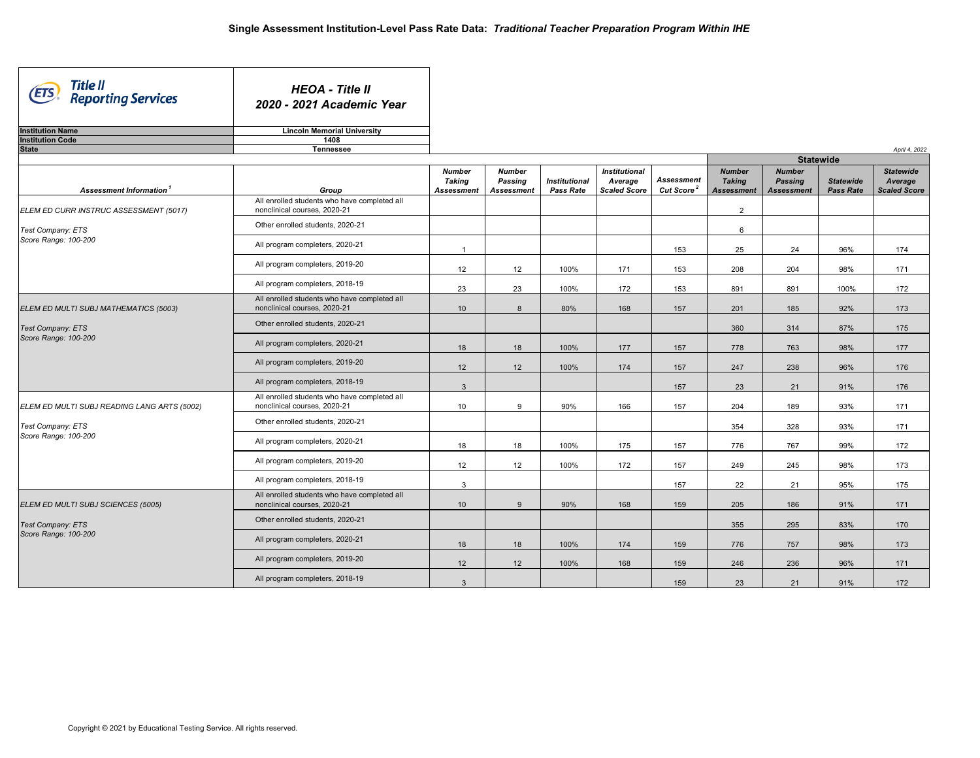| Title II<br>Reporting Services<br>(ETS             | <b>HEOA - Title II</b><br>2020 - 2021 Academic Year                          |                                              |                                        |                                          |                                                        |                                             |                                                     |                                                      |                                      |                                                    |
|----------------------------------------------------|------------------------------------------------------------------------------|----------------------------------------------|----------------------------------------|------------------------------------------|--------------------------------------------------------|---------------------------------------------|-----------------------------------------------------|------------------------------------------------------|--------------------------------------|----------------------------------------------------|
| <b>Institution Name</b><br><b>Institution Code</b> | <b>Lincoln Memorial University</b><br>1408                                   |                                              |                                        |                                          |                                                        |                                             |                                                     |                                                      |                                      |                                                    |
| <b>State</b>                                       | Tennessee                                                                    |                                              |                                        |                                          |                                                        |                                             |                                                     |                                                      |                                      | April 4, 2022                                      |
|                                                    |                                                                              |                                              |                                        |                                          |                                                        |                                             |                                                     | <b>Statewide</b>                                     |                                      |                                                    |
| Assessment Information <sup>1</sup>                | Group                                                                        | <b>Number</b><br>Taking<br><b>Assessment</b> | <b>Number</b><br>Passing<br>Assessment | <b>Institutional</b><br><b>Pass Rate</b> | <b>Institutional</b><br>Average<br><b>Scaled Score</b> | <b>Assessment</b><br>Cut Score <sup>2</sup> | <b>Number</b><br><b>Taking</b><br><b>Assessment</b> | <b>Number</b><br><b>Passing</b><br><b>Assessment</b> | <b>Statewide</b><br><b>Pass Rate</b> | <b>Statewide</b><br>Average<br><b>Scaled Score</b> |
| ELEM ED CURR INSTRUC ASSESSMENT (5017)             | All enrolled students who have completed all<br>nonclinical courses, 2020-21 |                                              |                                        |                                          |                                                        |                                             | $\overline{2}$                                      |                                                      |                                      |                                                    |
| Test Company: ETS                                  | Other enrolled students, 2020-21                                             |                                              |                                        |                                          |                                                        |                                             | 6                                                   |                                                      |                                      |                                                    |
| Score Range: 100-200                               | All program completers, 2020-21                                              | $\overline{1}$                               |                                        |                                          |                                                        | 153                                         | 25                                                  | 24                                                   | 96%                                  | 174                                                |
|                                                    | All program completers, 2019-20                                              | 12                                           | 12                                     | 100%                                     | 171                                                    | 153                                         | 208                                                 | 204                                                  | 98%                                  | 171                                                |
|                                                    | All program completers, 2018-19                                              | 23                                           | 23                                     | 100%                                     | 172                                                    | 153                                         | 891                                                 | 891                                                  | 100%                                 | 172                                                |
| ELEM ED MULTI SUBJ MATHEMATICS (5003)              | All enrolled students who have completed all<br>nonclinical courses, 2020-21 | 10 <sup>1</sup>                              | 8                                      | 80%                                      | 168                                                    | 157                                         | 201                                                 | 185                                                  | 92%                                  | 173                                                |
| Test Company: ETS                                  | Other enrolled students, 2020-21                                             |                                              |                                        |                                          |                                                        |                                             | 360                                                 | 314                                                  | 87%                                  | 175                                                |
| Score Range: 100-200                               | All program completers, 2020-21                                              | 18                                           | 18                                     | 100%                                     | 177                                                    | 157                                         | 778                                                 | 763                                                  | 98%                                  | 177                                                |
|                                                    | All program completers, 2019-20                                              | 12                                           | 12                                     | 100%                                     | 174                                                    | 157                                         | 247                                                 | 238                                                  | 96%                                  | 176                                                |
|                                                    | All program completers, 2018-19                                              | $\mathbf{3}$                                 |                                        |                                          |                                                        | 157                                         | 23                                                  | 21                                                   | 91%                                  | 176                                                |
| ELEM ED MULTI SUBJ READING LANG ARTS (5002)        | All enrolled students who have completed all<br>nonclinical courses, 2020-21 | 10                                           | 9                                      | 90%                                      | 166                                                    | 157                                         | 204                                                 | 189                                                  | 93%                                  | 171                                                |
| Test Company: ETS                                  | Other enrolled students, 2020-21                                             |                                              |                                        |                                          |                                                        |                                             | 354                                                 | 328                                                  | 93%                                  | 171                                                |
| Score Range: 100-200                               | All program completers, 2020-21                                              | 18                                           | 18                                     | 100%                                     | 175                                                    | 157                                         | 776                                                 | 767                                                  | 99%                                  | 172                                                |
|                                                    | All program completers, 2019-20                                              | 12                                           | 12                                     | 100%                                     | 172                                                    | 157                                         | 249                                                 | 245                                                  | 98%                                  | 173                                                |
|                                                    | All program completers, 2018-19                                              | 3                                            |                                        |                                          |                                                        | 157                                         | 22                                                  | 21                                                   | 95%                                  | 175                                                |
| ELEM ED MULTI SUBJ SCIENCES (5005)                 | All enrolled students who have completed all<br>nonclinical courses, 2020-21 | 10 <sup>1</sup>                              | 9                                      | 90%                                      | 168                                                    | 159                                         | 205                                                 | 186                                                  | 91%                                  | 171                                                |
| Test Company: ETS                                  | Other enrolled students, 2020-21                                             |                                              |                                        |                                          |                                                        |                                             | 355                                                 | 295                                                  | 83%                                  | 170                                                |
| Score Range: 100-200                               | All program completers, 2020-21                                              | 18                                           | 18                                     | 100%                                     | 174                                                    | 159                                         | 776                                                 | 757                                                  | 98%                                  | 173                                                |
|                                                    | All program completers, 2019-20                                              | 12                                           | 12                                     | 100%                                     | 168                                                    | 159                                         | 246                                                 | 236                                                  | 96%                                  | 171                                                |
|                                                    | All program completers, 2018-19                                              | $\mathbf{3}$                                 |                                        |                                          |                                                        | 159                                         | 23                                                  | 21                                                   | 91%                                  | 172                                                |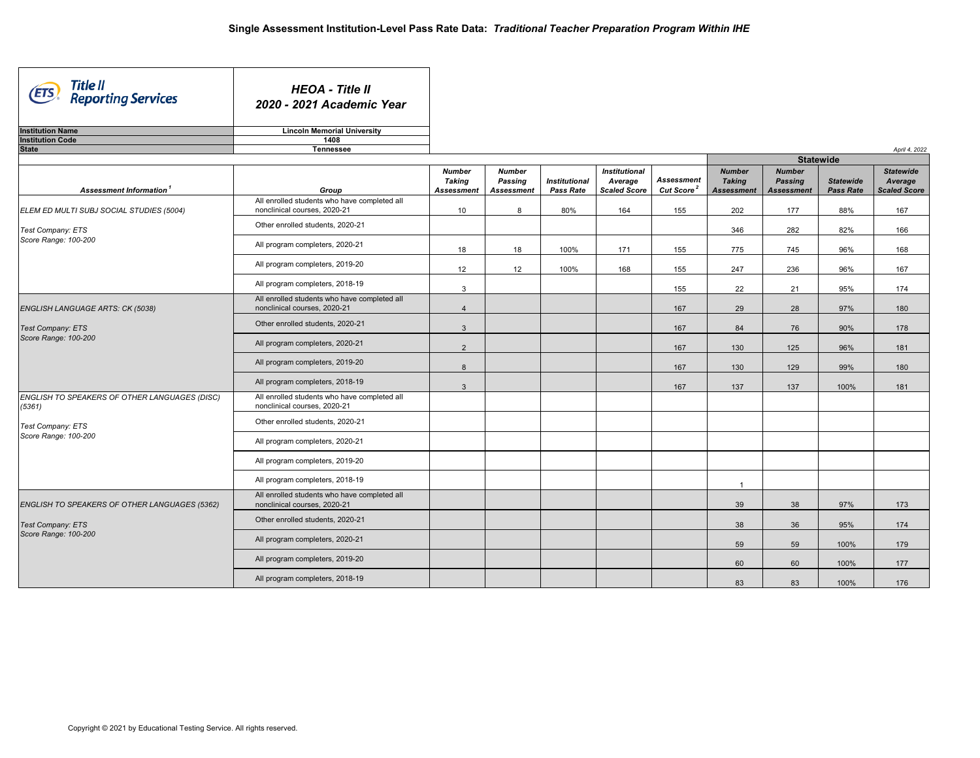| Title II<br>Reporting Services<br><b>ETS</b>            | <b>HEOA - Title II</b><br>2020 - 2021 Academic Year                             |                                                     |                                               |                                          |                                                        |                                             |                                                     |                                                      |                                      |                                                    |
|---------------------------------------------------------|---------------------------------------------------------------------------------|-----------------------------------------------------|-----------------------------------------------|------------------------------------------|--------------------------------------------------------|---------------------------------------------|-----------------------------------------------------|------------------------------------------------------|--------------------------------------|----------------------------------------------------|
| <b>Institution Name</b>                                 | <b>Lincoln Memorial University</b>                                              |                                                     |                                               |                                          |                                                        |                                             |                                                     |                                                      |                                      |                                                    |
| <b>Institution Code</b><br><b>State</b>                 | 1408<br><b>Tennessee</b>                                                        |                                                     |                                               |                                          |                                                        |                                             |                                                     |                                                      |                                      | April 4, 2022                                      |
|                                                         |                                                                                 |                                                     |                                               |                                          |                                                        |                                             |                                                     | <b>Statewide</b>                                     |                                      |                                                    |
| Assessment Information <sup>1</sup>                     | Group                                                                           | <b>Number</b><br><b>Taking</b><br><b>Assessment</b> | <b>Number</b><br>Passing<br><b>Assessment</b> | <b>Institutional</b><br><b>Pass Rate</b> | <b>Institutional</b><br>Average<br><b>Scaled Score</b> | <b>Assessment</b><br>Cut Score <sup>2</sup> | <b>Number</b><br><b>Taking</b><br><b>Assessment</b> | <b>Number</b><br><b>Passing</b><br><b>Assessment</b> | <b>Statewide</b><br><b>Pass Rate</b> | <b>Statewide</b><br>Average<br><b>Scaled Score</b> |
| ELEM ED MULTI SUBJ SOCIAL STUDIES (5004)                | All enrolled students who have completed all<br>nonclinical courses, 2020-21    | 10                                                  | 8                                             | 80%                                      | 164                                                    | 155                                         | 202                                                 | 177                                                  | 88%                                  | 167                                                |
| Test Company: ETS                                       | Other enrolled students, 2020-21                                                |                                                     |                                               |                                          |                                                        |                                             | 346                                                 | 282                                                  | 82%                                  | 166                                                |
| Score Range: 100-200                                    | All program completers, 2020-21                                                 | 18                                                  | 18                                            | 100%                                     | 171                                                    | 155                                         | 775                                                 | 745                                                  | 96%                                  | 168                                                |
|                                                         | All program completers, 2019-20                                                 | 12                                                  | 12                                            | 100%                                     | 168                                                    | 155                                         | 247                                                 | 236                                                  | 96%                                  | 167                                                |
|                                                         | All program completers, 2018-19<br>All enrolled students who have completed all | 3                                                   |                                               |                                          |                                                        | 155                                         | 22                                                  | 21                                                   | 95%                                  | 174                                                |
| ENGLISH LANGUAGE ARTS: CK (5038)                        | nonclinical courses, 2020-21                                                    | $\overline{4}$                                      |                                               |                                          |                                                        | 167                                         | 29                                                  | 28                                                   | 97%                                  | 180                                                |
| Test Company: ETS<br>Score Range: 100-200               | Other enrolled students, 2020-21                                                | $\mathbf{3}$                                        |                                               |                                          |                                                        | 167                                         | 84                                                  | 76                                                   | 90%                                  | 178                                                |
|                                                         | All program completers, 2020-21                                                 | 2                                                   |                                               |                                          |                                                        | 167                                         | 130                                                 | 125                                                  | 96%                                  | 181                                                |
|                                                         | All program completers, 2019-20                                                 | 8                                                   |                                               |                                          |                                                        | 167                                         | 130                                                 | 129                                                  | 99%                                  | 180                                                |
|                                                         | All program completers, 2018-19                                                 | $\mathbf{3}$                                        |                                               |                                          |                                                        | 167                                         | 137                                                 | 137                                                  | 100%                                 | 181                                                |
| ENGLISH TO SPEAKERS OF OTHER LANGUAGES (DISC)<br>(5361) | All enrolled students who have completed all<br>nonclinical courses, 2020-21    |                                                     |                                               |                                          |                                                        |                                             |                                                     |                                                      |                                      |                                                    |
| Test Company: ETS<br>Score Range: 100-200               | Other enrolled students, 2020-21                                                |                                                     |                                               |                                          |                                                        |                                             |                                                     |                                                      |                                      |                                                    |
|                                                         | All program completers, 2020-21                                                 |                                                     |                                               |                                          |                                                        |                                             |                                                     |                                                      |                                      |                                                    |
|                                                         | All program completers, 2019-20                                                 |                                                     |                                               |                                          |                                                        |                                             |                                                     |                                                      |                                      |                                                    |
|                                                         | All program completers, 2018-19<br>All enrolled students who have completed all |                                                     |                                               |                                          |                                                        |                                             | $\mathbf{1}$                                        |                                                      |                                      |                                                    |
| ENGLISH TO SPEAKERS OF OTHER LANGUAGES (5362)           | nonclinical courses, 2020-21                                                    |                                                     |                                               |                                          |                                                        |                                             | 39                                                  | 38                                                   | 97%                                  | 173                                                |
| Test Company: ETS<br>Score Range: 100-200               | Other enrolled students, 2020-21                                                |                                                     |                                               |                                          |                                                        |                                             | 38                                                  | 36                                                   | 95%                                  | 174                                                |
|                                                         | All program completers, 2020-21                                                 |                                                     |                                               |                                          |                                                        |                                             | 59                                                  | 59                                                   | 100%                                 | 179                                                |
|                                                         | All program completers, 2019-20                                                 |                                                     |                                               |                                          |                                                        |                                             | 60                                                  | 60                                                   | 100%                                 | 177                                                |
|                                                         | All program completers, 2018-19                                                 |                                                     |                                               |                                          |                                                        |                                             | 83                                                  | 83                                                   | 100%                                 | 176                                                |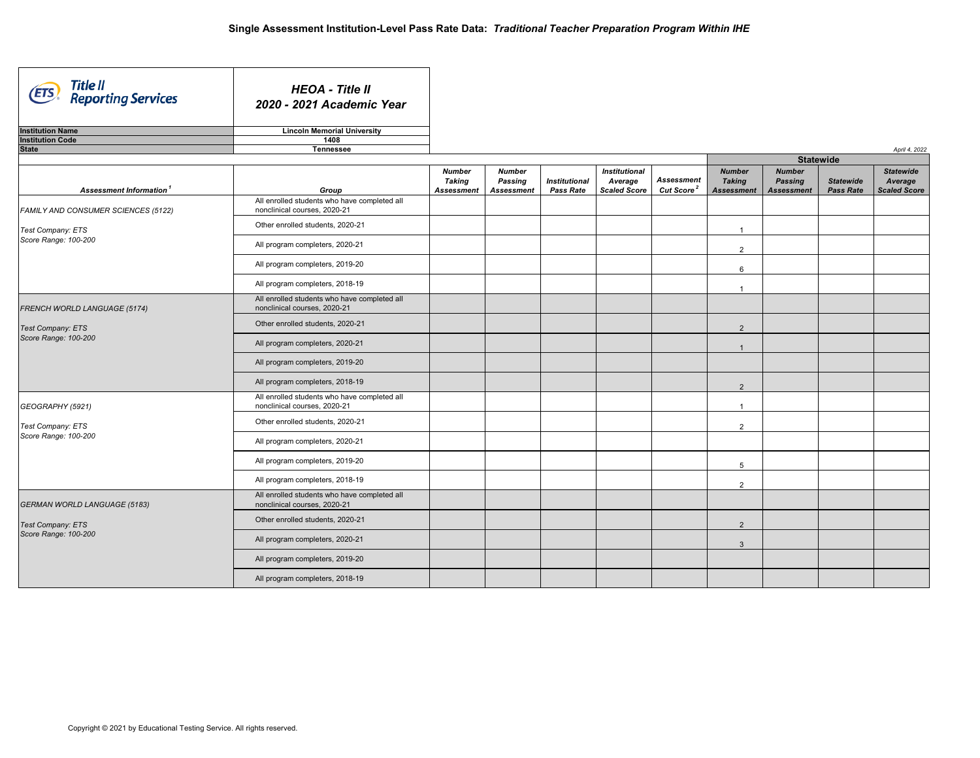| Title II<br>Reporting Services<br><b>ETS</b> | <b>HEOA - Title II</b><br>2020 - 2021 Academic Year                          |                                              |                                               |                                          |                                                        |                                             |                                                     |                                                      |                                      |                                                    |
|----------------------------------------------|------------------------------------------------------------------------------|----------------------------------------------|-----------------------------------------------|------------------------------------------|--------------------------------------------------------|---------------------------------------------|-----------------------------------------------------|------------------------------------------------------|--------------------------------------|----------------------------------------------------|
| <b>Institution Name</b>                      | <b>Lincoln Memorial University</b>                                           |                                              |                                               |                                          |                                                        |                                             |                                                     |                                                      |                                      |                                                    |
| <b>Institution Code</b>                      | 1408                                                                         |                                              |                                               |                                          |                                                        |                                             |                                                     |                                                      |                                      |                                                    |
| <b>State</b>                                 | Tennessee                                                                    |                                              |                                               |                                          |                                                        |                                             |                                                     |                                                      |                                      | April 4, 2022                                      |
|                                              |                                                                              |                                              |                                               |                                          |                                                        |                                             |                                                     |                                                      | <b>Statewide</b>                     |                                                    |
| Assessment Information <sup>1</sup>          | Group                                                                        | <b>Number</b><br>Taking<br><b>Assessment</b> | <b>Number</b><br>Passing<br><b>Assessment</b> | <b>Institutional</b><br><b>Pass Rate</b> | <b>Institutional</b><br>Average<br><b>Scaled Score</b> | <b>Assessment</b><br>Cut Score <sup>2</sup> | <b>Number</b><br><b>Taking</b><br><b>Assessment</b> | <b>Number</b><br><b>Passing</b><br><b>Assessment</b> | <b>Statewide</b><br><b>Pass Rate</b> | <b>Statewide</b><br>Average<br><b>Scaled Score</b> |
| FAMILY AND CONSUMER SCIENCES (5122)          | All enrolled students who have completed all<br>nonclinical courses, 2020-21 |                                              |                                               |                                          |                                                        |                                             |                                                     |                                                      |                                      |                                                    |
| Test Company: ETS                            | Other enrolled students, 2020-21                                             |                                              |                                               |                                          |                                                        |                                             | $\overline{1}$                                      |                                                      |                                      |                                                    |
| Score Range: 100-200                         | All program completers, 2020-21                                              |                                              |                                               |                                          |                                                        |                                             | 2                                                   |                                                      |                                      |                                                    |
|                                              | All program completers, 2019-20                                              |                                              |                                               |                                          |                                                        |                                             | $6\phantom{1}$                                      |                                                      |                                      |                                                    |
|                                              | All program completers, 2018-19                                              |                                              |                                               |                                          |                                                        |                                             | $\overline{1}$                                      |                                                      |                                      |                                                    |
| FRENCH WORLD LANGUAGE (5174)                 | All enrolled students who have completed all<br>nonclinical courses, 2020-21 |                                              |                                               |                                          |                                                        |                                             |                                                     |                                                      |                                      |                                                    |
| Test Company: ETS                            | Other enrolled students, 2020-21                                             |                                              |                                               |                                          |                                                        |                                             | $\overline{2}$                                      |                                                      |                                      |                                                    |
| Score Range: 100-200                         | All program completers, 2020-21                                              |                                              |                                               |                                          |                                                        |                                             | $\overline{1}$                                      |                                                      |                                      |                                                    |
|                                              | All program completers, 2019-20                                              |                                              |                                               |                                          |                                                        |                                             |                                                     |                                                      |                                      |                                                    |
|                                              | All program completers, 2018-19                                              |                                              |                                               |                                          |                                                        |                                             | 2                                                   |                                                      |                                      |                                                    |
| GEOGRAPHY (5921)                             | All enrolled students who have completed all<br>nonclinical courses, 2020-21 |                                              |                                               |                                          |                                                        |                                             | $\overline{1}$                                      |                                                      |                                      |                                                    |
| Test Company: ETS                            | Other enrolled students, 2020-21                                             |                                              |                                               |                                          |                                                        |                                             | $\overline{2}$                                      |                                                      |                                      |                                                    |
| Score Range: 100-200                         | All program completers, 2020-21                                              |                                              |                                               |                                          |                                                        |                                             |                                                     |                                                      |                                      |                                                    |
|                                              | All program completers, 2019-20                                              |                                              |                                               |                                          |                                                        |                                             | 5                                                   |                                                      |                                      |                                                    |
|                                              | All program completers, 2018-19                                              |                                              |                                               |                                          |                                                        |                                             | 2                                                   |                                                      |                                      |                                                    |
| <b>GERMAN WORLD LANGUAGE (5183)</b>          | All enrolled students who have completed all<br>nonclinical courses, 2020-21 |                                              |                                               |                                          |                                                        |                                             |                                                     |                                                      |                                      |                                                    |
| Test Company: ETS                            | Other enrolled students, 2020-21                                             |                                              |                                               |                                          |                                                        |                                             | $\overline{2}$                                      |                                                      |                                      |                                                    |
| Score Range: 100-200                         | All program completers, 2020-21                                              |                                              |                                               |                                          |                                                        |                                             | $\overline{3}$                                      |                                                      |                                      |                                                    |
|                                              | All program completers, 2019-20                                              |                                              |                                               |                                          |                                                        |                                             |                                                     |                                                      |                                      |                                                    |
|                                              | All program completers, 2018-19                                              |                                              |                                               |                                          |                                                        |                                             |                                                     |                                                      |                                      |                                                    |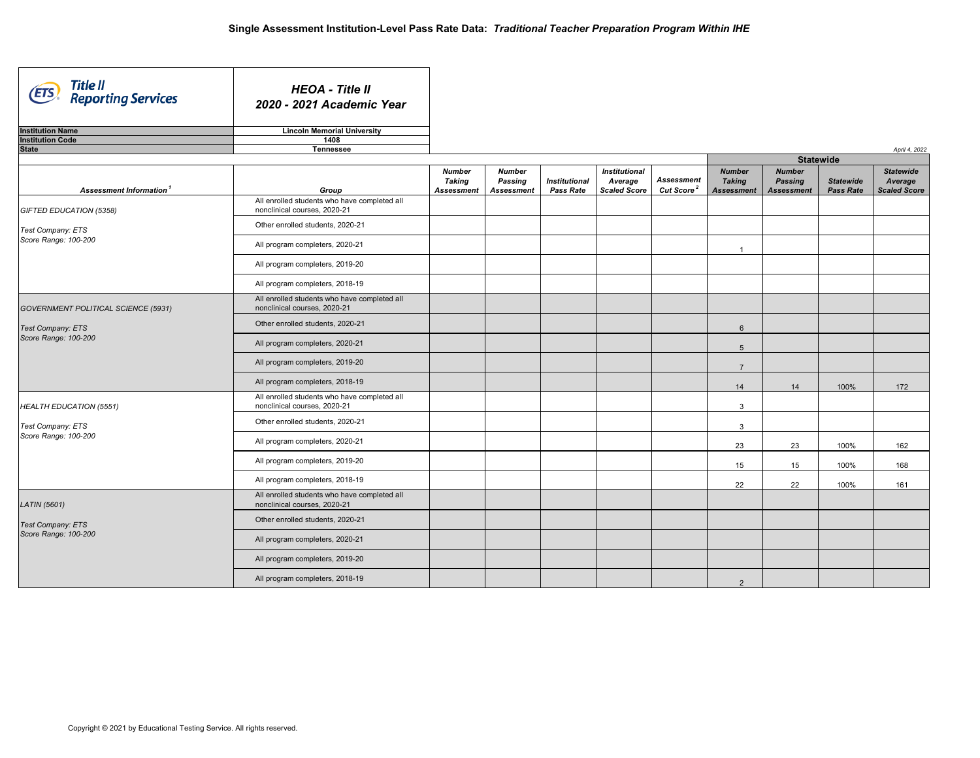| Title II<br>Reporting Services<br>(ETS | <b>HEOA - Title II</b><br>2020 - 2021 Academic Year                          |                                              |                                               |                                          |                                                        |                                      |                                                     |                                                      |                               |                                                    |
|----------------------------------------|------------------------------------------------------------------------------|----------------------------------------------|-----------------------------------------------|------------------------------------------|--------------------------------------------------------|--------------------------------------|-----------------------------------------------------|------------------------------------------------------|-------------------------------|----------------------------------------------------|
| <b>Institution Name</b>                | <b>Lincoln Memorial University</b>                                           |                                              |                                               |                                          |                                                        |                                      |                                                     |                                                      |                               |                                                    |
| <b>Institution Code</b>                | 1408                                                                         |                                              |                                               |                                          |                                                        |                                      |                                                     |                                                      |                               |                                                    |
| <b>State</b>                           | Tennessee                                                                    |                                              |                                               |                                          |                                                        |                                      |                                                     |                                                      |                               | April 4, 2022                                      |
|                                        |                                                                              |                                              |                                               |                                          |                                                        |                                      |                                                     | <b>Statewide</b>                                     |                               |                                                    |
| Assessment Information <sup>1</sup>    | Group                                                                        | <b>Number</b><br>Taking<br><b>Assessment</b> | <b>Number</b><br>Passing<br><b>Assessment</b> | <b>Institutional</b><br><b>Pass Rate</b> | <b>Institutional</b><br>Average<br><b>Scaled Score</b> | Assessment<br>Cut Score <sup>2</sup> | <b>Number</b><br><b>Taking</b><br><b>Assessment</b> | <b>Number</b><br><b>Passing</b><br><b>Assessment</b> | <b>Statewide</b><br>Pass Rate | <b>Statewide</b><br>Average<br><b>Scaled Score</b> |
| GIFTED EDUCATION (5358)                | All enrolled students who have completed all<br>nonclinical courses, 2020-21 |                                              |                                               |                                          |                                                        |                                      |                                                     |                                                      |                               |                                                    |
| Test Company: ETS                      | Other enrolled students, 2020-21                                             |                                              |                                               |                                          |                                                        |                                      |                                                     |                                                      |                               |                                                    |
| Score Range: 100-200                   | All program completers, 2020-21                                              |                                              |                                               |                                          |                                                        |                                      | $\overline{1}$                                      |                                                      |                               |                                                    |
|                                        | All program completers, 2019-20                                              |                                              |                                               |                                          |                                                        |                                      |                                                     |                                                      |                               |                                                    |
|                                        | All program completers, 2018-19                                              |                                              |                                               |                                          |                                                        |                                      |                                                     |                                                      |                               |                                                    |
| GOVERNMENT POLITICAL SCIENCE (5931)    | All enrolled students who have completed all<br>nonclinical courses, 2020-21 |                                              |                                               |                                          |                                                        |                                      |                                                     |                                                      |                               |                                                    |
| Test Company: ETS                      | Other enrolled students, 2020-21                                             |                                              |                                               |                                          |                                                        |                                      | 6                                                   |                                                      |                               |                                                    |
| Score Range: 100-200                   | All program completers, 2020-21                                              |                                              |                                               |                                          |                                                        |                                      | 5                                                   |                                                      |                               |                                                    |
|                                        | All program completers, 2019-20                                              |                                              |                                               |                                          |                                                        |                                      | $\overline{7}$                                      |                                                      |                               |                                                    |
|                                        | All program completers, 2018-19                                              |                                              |                                               |                                          |                                                        |                                      | 14                                                  | 14                                                   | 100%                          | 172                                                |
| HEALTH EDUCATION (5551)                | All enrolled students who have completed all<br>nonclinical courses, 2020-21 |                                              |                                               |                                          |                                                        |                                      | $\mathbf{3}$                                        |                                                      |                               |                                                    |
| Test Company: ETS                      | Other enrolled students, 2020-21                                             |                                              |                                               |                                          |                                                        |                                      | $\mathbf{3}$                                        |                                                      |                               |                                                    |
| Score Range: 100-200                   | All program completers, 2020-21                                              |                                              |                                               |                                          |                                                        |                                      | 23                                                  | 23                                                   | 100%                          | 162                                                |
|                                        | All program completers, 2019-20                                              |                                              |                                               |                                          |                                                        |                                      | 15                                                  | 15                                                   | 100%                          | 168                                                |
|                                        | All program completers, 2018-19                                              |                                              |                                               |                                          |                                                        |                                      | 22                                                  | 22                                                   | 100%                          | 161                                                |
| LATIN (5601)                           | All enrolled students who have completed all<br>nonclinical courses, 2020-21 |                                              |                                               |                                          |                                                        |                                      |                                                     |                                                      |                               |                                                    |
| Test Company: ETS                      | Other enrolled students, 2020-21                                             |                                              |                                               |                                          |                                                        |                                      |                                                     |                                                      |                               |                                                    |
| Score Range: 100-200                   | All program completers, 2020-21                                              |                                              |                                               |                                          |                                                        |                                      |                                                     |                                                      |                               |                                                    |
|                                        | All program completers, 2019-20                                              |                                              |                                               |                                          |                                                        |                                      |                                                     |                                                      |                               |                                                    |
|                                        | All program completers, 2018-19                                              |                                              |                                               |                                          |                                                        |                                      | 2                                                   |                                                      |                               |                                                    |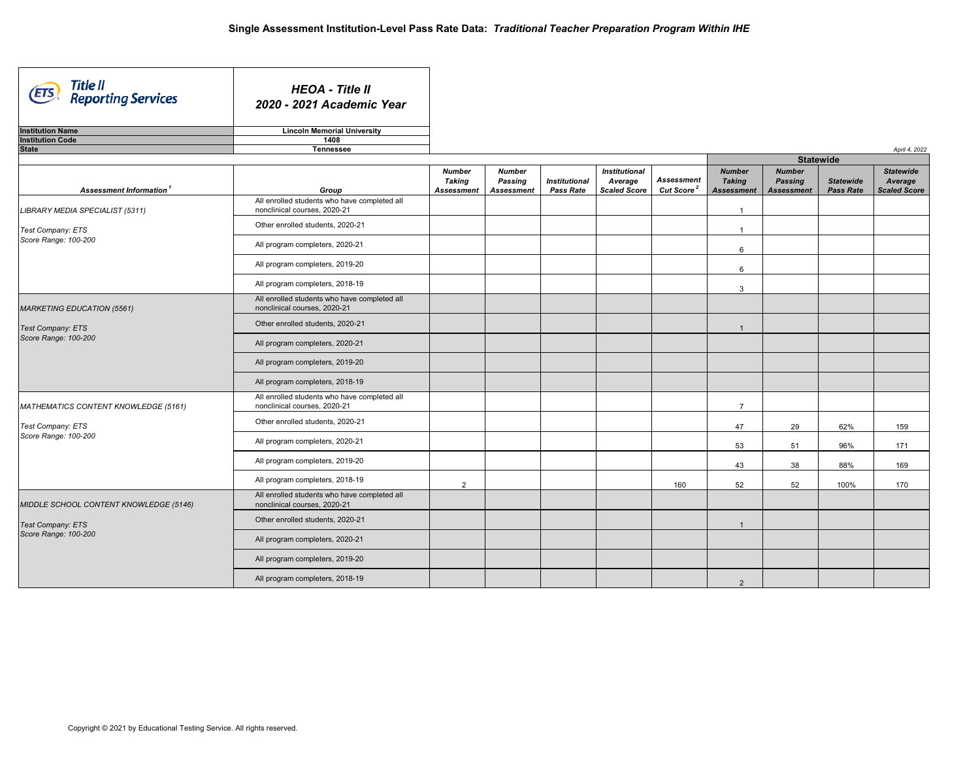| Title II<br>Reporting Services<br>(ETS | <b>HEOA - Title II</b><br>2020 - 2021 Academic Year                          |                                              |                                               |                                          |                                                        |                                             |                                                     |                                                      |                                      |                                                    |
|----------------------------------------|------------------------------------------------------------------------------|----------------------------------------------|-----------------------------------------------|------------------------------------------|--------------------------------------------------------|---------------------------------------------|-----------------------------------------------------|------------------------------------------------------|--------------------------------------|----------------------------------------------------|
| <b>Institution Name</b>                | <b>Lincoln Memorial University</b>                                           |                                              |                                               |                                          |                                                        |                                             |                                                     |                                                      |                                      |                                                    |
| <b>Institution Code</b>                | 1408                                                                         |                                              |                                               |                                          |                                                        |                                             |                                                     |                                                      |                                      |                                                    |
| <b>State</b>                           | Tennessee                                                                    |                                              |                                               |                                          |                                                        |                                             |                                                     |                                                      |                                      | April 4, 2022                                      |
|                                        |                                                                              |                                              |                                               |                                          |                                                        |                                             |                                                     |                                                      | <b>Statewide</b>                     |                                                    |
| Assessment Information <sup>1</sup>    | Group                                                                        | <b>Number</b><br>Taking<br><b>Assessment</b> | <b>Number</b><br>Passing<br><b>Assessment</b> | <b>Institutional</b><br><b>Pass Rate</b> | <b>Institutional</b><br>Average<br><b>Scaled Score</b> | <b>Assessment</b><br>Cut Score <sup>2</sup> | <b>Number</b><br><b>Taking</b><br><b>Assessment</b> | <b>Number</b><br><b>Passing</b><br><b>Assessment</b> | <b>Statewide</b><br><b>Pass Rate</b> | <b>Statewide</b><br>Average<br><b>Scaled Score</b> |
| LIBRARY MEDIA SPECIALIST (5311)        | All enrolled students who have completed all<br>nonclinical courses, 2020-21 |                                              |                                               |                                          |                                                        |                                             | $\overline{1}$                                      |                                                      |                                      |                                                    |
| Test Company: ETS                      | Other enrolled students, 2020-21                                             |                                              |                                               |                                          |                                                        |                                             | $\overline{1}$                                      |                                                      |                                      |                                                    |
| Score Range: 100-200                   | All program completers, 2020-21                                              |                                              |                                               |                                          |                                                        |                                             | 6                                                   |                                                      |                                      |                                                    |
|                                        | All program completers, 2019-20                                              |                                              |                                               |                                          |                                                        |                                             | $6\phantom{1}$                                      |                                                      |                                      |                                                    |
|                                        | All program completers, 2018-19                                              |                                              |                                               |                                          |                                                        |                                             | $\mathbf{3}$                                        |                                                      |                                      |                                                    |
| <b>MARKETING EDUCATION (5561)</b>      | All enrolled students who have completed all<br>nonclinical courses, 2020-21 |                                              |                                               |                                          |                                                        |                                             |                                                     |                                                      |                                      |                                                    |
| Test Company: ETS                      | Other enrolled students, 2020-21                                             |                                              |                                               |                                          |                                                        |                                             | $\overline{1}$                                      |                                                      |                                      |                                                    |
| Score Range: 100-200                   | All program completers, 2020-21                                              |                                              |                                               |                                          |                                                        |                                             |                                                     |                                                      |                                      |                                                    |
|                                        | All program completers, 2019-20                                              |                                              |                                               |                                          |                                                        |                                             |                                                     |                                                      |                                      |                                                    |
|                                        | All program completers, 2018-19                                              |                                              |                                               |                                          |                                                        |                                             |                                                     |                                                      |                                      |                                                    |
| MATHEMATICS CONTENT KNOWLEDGE (5161)   | All enrolled students who have completed all<br>nonclinical courses, 2020-21 |                                              |                                               |                                          |                                                        |                                             | $\overline{7}$                                      |                                                      |                                      |                                                    |
| Test Company: ETS                      | Other enrolled students, 2020-21                                             |                                              |                                               |                                          |                                                        |                                             | 47                                                  | 29                                                   | 62%                                  | 159                                                |
| Score Range: 100-200                   | All program completers, 2020-21                                              |                                              |                                               |                                          |                                                        |                                             | 53                                                  | 51                                                   | 96%                                  | 171                                                |
|                                        | All program completers, 2019-20                                              |                                              |                                               |                                          |                                                        |                                             | 43                                                  | 38                                                   | 88%                                  | 169                                                |
|                                        | All program completers, 2018-19                                              | $\overline{2}$                               |                                               |                                          |                                                        | 160                                         | 52                                                  | 52                                                   | 100%                                 | 170                                                |
| MIDDLE SCHOOL CONTENT KNOWLEDGE (5146) | All enrolled students who have completed all<br>nonclinical courses, 2020-21 |                                              |                                               |                                          |                                                        |                                             |                                                     |                                                      |                                      |                                                    |
| Test Company: ETS                      | Other enrolled students, 2020-21                                             |                                              |                                               |                                          |                                                        |                                             | $\overline{1}$                                      |                                                      |                                      |                                                    |
| Score Range: 100-200                   | All program completers, 2020-21                                              |                                              |                                               |                                          |                                                        |                                             |                                                     |                                                      |                                      |                                                    |
|                                        | All program completers, 2019-20                                              |                                              |                                               |                                          |                                                        |                                             |                                                     |                                                      |                                      |                                                    |
|                                        | All program completers, 2018-19                                              |                                              |                                               |                                          |                                                        |                                             | 2                                                   |                                                      |                                      |                                                    |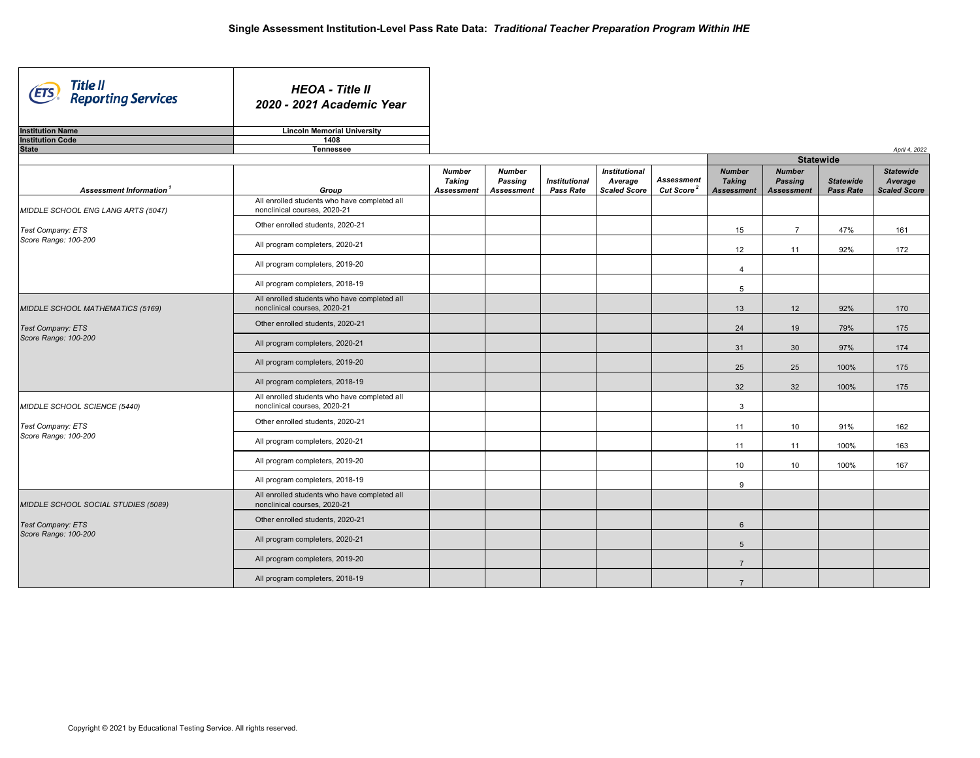| Title II<br>Reporting Services<br>ETS) | <b>HEOA - Title II</b><br>2020 - 2021 Academic Year                          |                                              |                                               |                                          |                                                        |                                             |                                                     |                                                      |                                      |                                                    |
|----------------------------------------|------------------------------------------------------------------------------|----------------------------------------------|-----------------------------------------------|------------------------------------------|--------------------------------------------------------|---------------------------------------------|-----------------------------------------------------|------------------------------------------------------|--------------------------------------|----------------------------------------------------|
| <b>Institution Name</b>                | <b>Lincoln Memorial University</b>                                           |                                              |                                               |                                          |                                                        |                                             |                                                     |                                                      |                                      |                                                    |
| <b>Institution Code</b>                | 1408                                                                         |                                              |                                               |                                          |                                                        |                                             |                                                     |                                                      |                                      |                                                    |
| <b>State</b>                           | <b>Tennessee</b>                                                             |                                              |                                               |                                          |                                                        |                                             |                                                     |                                                      |                                      | April 4, 2022                                      |
|                                        |                                                                              |                                              |                                               |                                          |                                                        |                                             |                                                     | <b>Statewide</b>                                     |                                      |                                                    |
| Assessment Information <sup>1</sup>    | Group                                                                        | <b>Number</b><br>Taking<br><b>Assessment</b> | <b>Number</b><br>Passing<br><b>Assessment</b> | <b>Institutional</b><br><b>Pass Rate</b> | <b>Institutional</b><br>Average<br><b>Scaled Score</b> | <b>Assessment</b><br>Cut Score <sup>2</sup> | <b>Number</b><br><b>Taking</b><br><b>Assessment</b> | <b>Number</b><br><b>Passing</b><br><b>Assessment</b> | <b>Statewide</b><br><b>Pass Rate</b> | <b>Statewide</b><br>Average<br><b>Scaled Score</b> |
| MIDDLE SCHOOL ENG LANG ARTS (5047)     | All enrolled students who have completed all<br>nonclinical courses, 2020-21 |                                              |                                               |                                          |                                                        |                                             |                                                     |                                                      |                                      |                                                    |
| Test Company: ETS                      | Other enrolled students, 2020-21                                             |                                              |                                               |                                          |                                                        |                                             | 15                                                  | $\overline{7}$                                       | 47%                                  | 161                                                |
| Score Range: 100-200                   | All program completers, 2020-21                                              |                                              |                                               |                                          |                                                        |                                             | 12                                                  | 11                                                   | 92%                                  | 172                                                |
|                                        | All program completers, 2019-20                                              |                                              |                                               |                                          |                                                        |                                             | $\overline{4}$                                      |                                                      |                                      |                                                    |
|                                        | All program completers, 2018-19                                              |                                              |                                               |                                          |                                                        |                                             | 5                                                   |                                                      |                                      |                                                    |
| MIDDLE SCHOOL MATHEMATICS (5169)       | All enrolled students who have completed all<br>nonclinical courses, 2020-21 |                                              |                                               |                                          |                                                        |                                             | 13                                                  | 12                                                   | 92%                                  | 170                                                |
| <b>Test Company: ETS</b>               | Other enrolled students, 2020-21                                             |                                              |                                               |                                          |                                                        |                                             | 24                                                  | 19                                                   | 79%                                  | 175                                                |
| Score Range: 100-200                   | All program completers, 2020-21                                              |                                              |                                               |                                          |                                                        |                                             | 31                                                  | 30                                                   | 97%                                  | 174                                                |
|                                        | All program completers, 2019-20                                              |                                              |                                               |                                          |                                                        |                                             | 25                                                  | 25                                                   | 100%                                 | 175                                                |
|                                        | All program completers, 2018-19                                              |                                              |                                               |                                          |                                                        |                                             | 32                                                  | 32                                                   | 100%                                 | 175                                                |
| MIDDLE SCHOOL SCIENCE (5440)           | All enrolled students who have completed all<br>nonclinical courses, 2020-21 |                                              |                                               |                                          |                                                        |                                             | $\mathbf{3}$                                        |                                                      |                                      |                                                    |
| Test Company: ETS                      | Other enrolled students, 2020-21                                             |                                              |                                               |                                          |                                                        |                                             | 11                                                  | 10                                                   | 91%                                  | 162                                                |
| Score Range: 100-200                   | All program completers, 2020-21                                              |                                              |                                               |                                          |                                                        |                                             | 11                                                  | 11                                                   | 100%                                 | 163                                                |
|                                        | All program completers, 2019-20                                              |                                              |                                               |                                          |                                                        |                                             | 10 <sup>1</sup>                                     | 10                                                   | 100%                                 | 167                                                |
|                                        | All program completers, 2018-19                                              |                                              |                                               |                                          |                                                        |                                             | 9                                                   |                                                      |                                      |                                                    |
| MIDDLE SCHOOL SOCIAL STUDIES (5089)    | All enrolled students who have completed all<br>nonclinical courses. 2020-21 |                                              |                                               |                                          |                                                        |                                             |                                                     |                                                      |                                      |                                                    |
| Test Company: ETS                      | Other enrolled students, 2020-21                                             |                                              |                                               |                                          |                                                        |                                             | $6\phantom{.}6$                                     |                                                      |                                      |                                                    |
| Score Range: 100-200                   | All program completers, 2020-21                                              |                                              |                                               |                                          |                                                        |                                             | 5                                                   |                                                      |                                      |                                                    |
|                                        | All program completers, 2019-20                                              |                                              |                                               |                                          |                                                        |                                             | $\overline{7}$                                      |                                                      |                                      |                                                    |
|                                        | All program completers, 2018-19                                              |                                              |                                               |                                          |                                                        |                                             | $\overline{7}$                                      |                                                      |                                      |                                                    |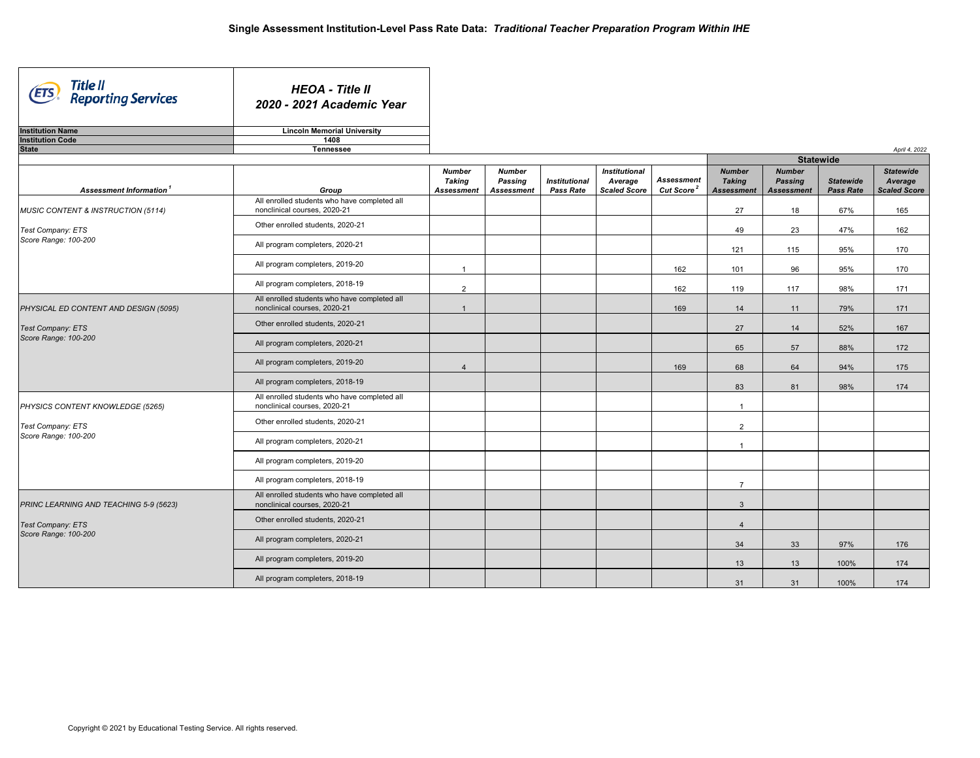| Title II<br>Reporting Services<br>(ETS           | <b>HEOA - Title II</b><br>2020 - 2021 Academic Year                             |                                              |                                               |                                          |                                                        |                                             |                                                     |                                                      |                                      |                                                    |
|--------------------------------------------------|---------------------------------------------------------------------------------|----------------------------------------------|-----------------------------------------------|------------------------------------------|--------------------------------------------------------|---------------------------------------------|-----------------------------------------------------|------------------------------------------------------|--------------------------------------|----------------------------------------------------|
| <b>Institution Name</b>                          | <b>Lincoln Memorial University</b>                                              |                                              |                                               |                                          |                                                        |                                             |                                                     |                                                      |                                      |                                                    |
| <b>Institution Code</b><br><b>State</b>          | 1408<br><b>Tennessee</b>                                                        |                                              |                                               |                                          |                                                        |                                             |                                                     |                                                      |                                      | April 4, 2022                                      |
|                                                  |                                                                                 |                                              |                                               |                                          |                                                        |                                             |                                                     | <b>Statewide</b>                                     |                                      |                                                    |
| Assessment Information <sup>1</sup>              | Group                                                                           | <b>Number</b><br>Taking<br><b>Assessment</b> | <b>Number</b><br>Passing<br><b>Assessment</b> | <b>Institutional</b><br><b>Pass Rate</b> | <b>Institutional</b><br>Average<br><b>Scaled Score</b> | <b>Assessment</b><br>Cut Score <sup>2</sup> | <b>Number</b><br><b>Taking</b><br><b>Assessment</b> | <b>Number</b><br><b>Passing</b><br><b>Assessment</b> | <b>Statewide</b><br><b>Pass Rate</b> | <b>Statewide</b><br>Average<br><b>Scaled Score</b> |
| MUSIC CONTENT & INSTRUCTION (5114)               | All enrolled students who have completed all<br>nonclinical courses, 2020-21    |                                              |                                               |                                          |                                                        |                                             | 27                                                  | 18                                                   | 67%                                  | 165                                                |
| Test Company: ETS                                | Other enrolled students, 2020-21                                                |                                              |                                               |                                          |                                                        |                                             | 49                                                  | 23                                                   | 47%                                  | 162                                                |
| Score Range: 100-200                             | All program completers, 2020-21                                                 |                                              |                                               |                                          |                                                        |                                             | 121                                                 | 115                                                  | 95%                                  | 170                                                |
|                                                  | All program completers, 2019-20                                                 | $\overline{1}$                               |                                               |                                          |                                                        | 162                                         | 101                                                 | 96                                                   | 95%                                  | 170                                                |
|                                                  | All program completers, 2018-19<br>All enrolled students who have completed all | 2                                            |                                               |                                          |                                                        | 162                                         | 119                                                 | 117                                                  | 98%                                  | 171                                                |
| PHYSICAL ED CONTENT AND DESIGN (5095)            | nonclinical courses, 2020-21                                                    | $\overline{1}$                               |                                               |                                          |                                                        | 169                                         | 14                                                  | 11                                                   | 79%                                  | 171                                                |
| <b>Test Company: ETS</b><br>Score Range: 100-200 | Other enrolled students, 2020-21                                                |                                              |                                               |                                          |                                                        |                                             | 27                                                  | 14                                                   | 52%                                  | 167                                                |
|                                                  | All program completers, 2020-21                                                 |                                              |                                               |                                          |                                                        |                                             | 65                                                  | 57                                                   | 88%                                  | 172                                                |
|                                                  | All program completers, 2019-20                                                 | $\overline{4}$                               |                                               |                                          |                                                        | 169                                         | 68                                                  | 64                                                   | 94%                                  | 175                                                |
|                                                  | All program completers, 2018-19<br>All enrolled students who have completed all |                                              |                                               |                                          |                                                        |                                             | 83                                                  | 81                                                   | 98%                                  | 174                                                |
| PHYSICS CONTENT KNOWLEDGE (5265)                 | nonclinical courses, 2020-21                                                    |                                              |                                               |                                          |                                                        |                                             | $\mathbf{1}$                                        |                                                      |                                      |                                                    |
| Test Company: ETS<br>Score Range: 100-200        | Other enrolled students, 2020-21                                                |                                              |                                               |                                          |                                                        |                                             | $\overline{2}$                                      |                                                      |                                      |                                                    |
|                                                  | All program completers, 2020-21                                                 |                                              |                                               |                                          |                                                        |                                             | $\overline{1}$                                      |                                                      |                                      |                                                    |
|                                                  | All program completers, 2019-20                                                 |                                              |                                               |                                          |                                                        |                                             |                                                     |                                                      |                                      |                                                    |
|                                                  | All program completers, 2018-19                                                 |                                              |                                               |                                          |                                                        |                                             | $\overline{7}$                                      |                                                      |                                      |                                                    |
| PRINC LEARNING AND TEACHING 5-9 (5623)           | All enrolled students who have completed all<br>nonclinical courses, 2020-21    |                                              |                                               |                                          |                                                        |                                             | $\mathbf{3}$                                        |                                                      |                                      |                                                    |
| <b>Test Company: ETS</b>                         | Other enrolled students, 2020-21                                                |                                              |                                               |                                          |                                                        |                                             | $\overline{4}$                                      |                                                      |                                      |                                                    |
| Score Range: 100-200                             | All program completers, 2020-21                                                 |                                              |                                               |                                          |                                                        |                                             | 34                                                  | 33                                                   | 97%                                  | 176                                                |
|                                                  | All program completers, 2019-20                                                 |                                              |                                               |                                          |                                                        |                                             | 13                                                  | 13                                                   | 100%                                 | 174                                                |
|                                                  | All program completers, 2018-19                                                 |                                              |                                               |                                          |                                                        |                                             | 31                                                  | 31                                                   | 100%                                 | 174                                                |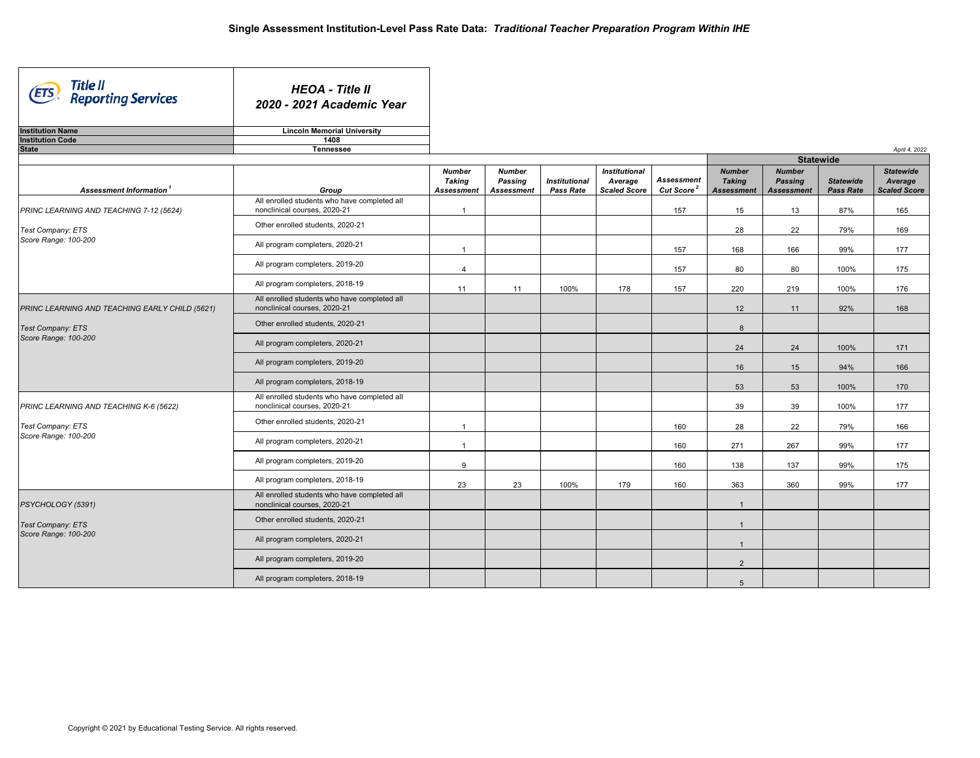| Title II<br>Reporting Services<br><b>ETS</b>   | <b>HEOA - Title II</b><br>2020 - 2021 Academic Year                          |                                |                          |                      |                                 |                        |                                |                          |                  |                             |
|------------------------------------------------|------------------------------------------------------------------------------|--------------------------------|--------------------------|----------------------|---------------------------------|------------------------|--------------------------------|--------------------------|------------------|-----------------------------|
| <b>Institution Name</b>                        | <b>Lincoln Memorial University</b>                                           |                                |                          |                      |                                 |                        |                                |                          |                  |                             |
| <b>Institution Code</b><br><b>State</b>        | 1408<br><b>Tennessee</b>                                                     |                                |                          |                      |                                 |                        |                                |                          |                  |                             |
|                                                |                                                                              |                                |                          |                      |                                 |                        |                                |                          | <b>Statewide</b> | April 4, 2022               |
|                                                |                                                                              | <b>Number</b><br><b>Taking</b> | <b>Number</b><br>Passing | <b>Institutional</b> | <b>Institutional</b><br>Average | <b>Assessment</b>      | <b>Number</b><br><b>Taking</b> | <b>Number</b><br>Passing | <b>Statewide</b> | <b>Statewide</b><br>Average |
| Assessment Information <sup>1</sup>            | Group<br>All enrolled students who have completed all                        | <b>Assessment</b>              | <b>Assessment</b>        | Pass Rate            | <b>Scaled Score</b>             | Cut Score <sup>2</sup> | <b>Assessment</b>              | <b>Assessment</b>        | <b>Pass Rate</b> | <b>Scaled Score</b>         |
| PRINC LEARNING AND TEACHING 7-12 (5624)        | nonclinical courses, 2020-21                                                 | $\overline{1}$                 |                          |                      |                                 | 157                    | 15                             | 13                       | 87%              | 165                         |
| Test Company: ETS                              | Other enrolled students, 2020-21                                             |                                |                          |                      |                                 |                        | 28                             | 22                       | 79%              | 169                         |
| Score Range: 100-200                           | All program completers, 2020-21                                              | $\overline{1}$                 |                          |                      |                                 | 157                    | 168                            | 166                      | 99%              | 177                         |
|                                                | All program completers, 2019-20                                              | $\overline{4}$                 |                          |                      |                                 | 157                    | 80                             | 80                       | 100%             | 175                         |
|                                                | All program completers, 2018-19                                              | 11                             | 11                       | 100%                 | 178                             | 157                    | 220                            | 219                      | 100%             | 176                         |
| PRINC LEARNING AND TEACHING EARLY CHILD (5621) | All enrolled students who have completed all<br>nonclinical courses, 2020-21 |                                |                          |                      |                                 |                        | 12                             | 11                       | 92%              | 168                         |
| Test Company: ETS                              | Other enrolled students, 2020-21                                             |                                |                          |                      |                                 |                        | 8                              |                          |                  |                             |
| Score Range: 100-200                           | All program completers, 2020-21                                              |                                |                          |                      |                                 |                        | 24                             | 24                       | 100%             | 171                         |
|                                                | All program completers, 2019-20                                              |                                |                          |                      |                                 |                        | 16                             | 15                       | 94%              | 166                         |
|                                                | All program completers, 2018-19                                              |                                |                          |                      |                                 |                        | 53                             | 53                       | 100%             | 170                         |
| PRINC LEARNING AND TEACHING K-6 (5622)         | All enrolled students who have completed all<br>nonclinical courses, 2020-21 |                                |                          |                      |                                 |                        | 39                             | 39                       | 100%             | 177                         |
| Test Company: ETS                              | Other enrolled students, 2020-21                                             | $\overline{1}$                 |                          |                      |                                 | 160                    | 28                             | 22                       | 79%              | 166                         |
| Score Range: 100-200                           | All program completers, 2020-21                                              | $\overline{1}$                 |                          |                      |                                 | 160                    | 271                            | 267                      | 99%              | 177                         |
|                                                | All program completers, 2019-20                                              | 9                              |                          |                      |                                 | 160                    | 138                            | 137                      | 99%              | 175                         |
|                                                | All program completers, 2018-19                                              | 23                             | 23                       | 100%                 | 179                             | 160                    | 363                            | 360                      | 99%              | 177                         |
| PSYCHOLOGY (5391)                              | All enrolled students who have completed all<br>nonclinical courses, 2020-21 |                                |                          |                      |                                 |                        | $\mathbf{1}$                   |                          |                  |                             |
| Test Company: ETS                              | Other enrolled students, 2020-21                                             |                                |                          |                      |                                 |                        | $\mathbf{1}$                   |                          |                  |                             |
| Score Range: 100-200                           | All program completers, 2020-21                                              |                                |                          |                      |                                 |                        | $\overline{1}$                 |                          |                  |                             |
|                                                | All program completers, 2019-20                                              |                                |                          |                      |                                 |                        | $\overline{2}$                 |                          |                  |                             |
|                                                | All program completers, 2018-19                                              |                                |                          |                      |                                 |                        | 5                              |                          |                  |                             |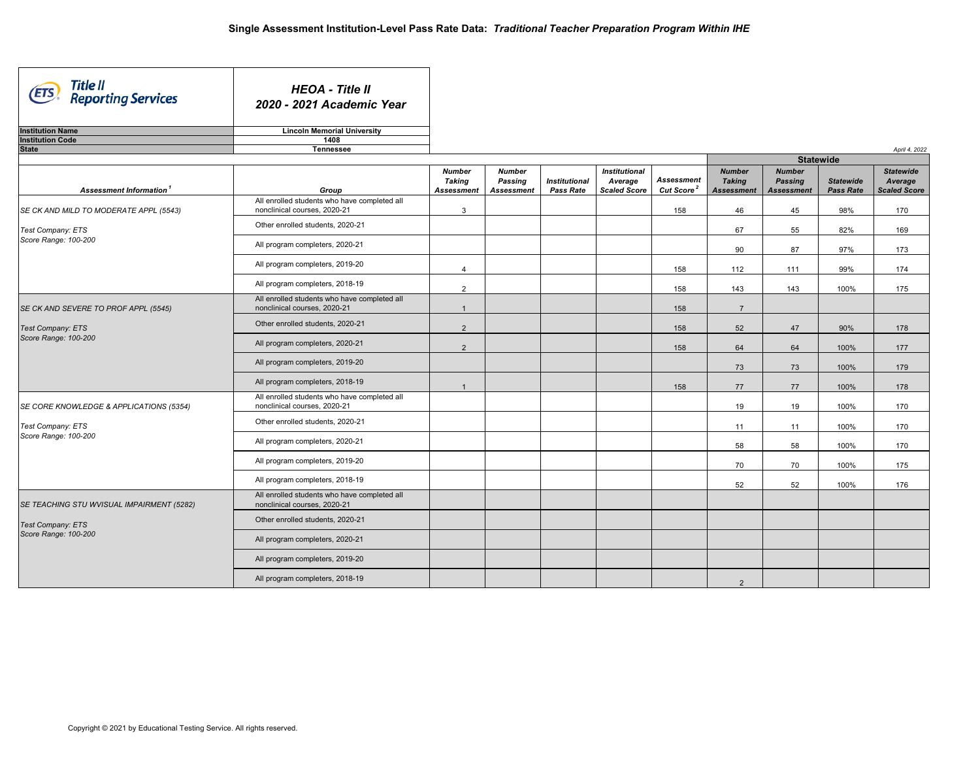| Title II<br>Reporting Services<br>(ETS             | <b>HEOA - Title II</b><br>2020 - 2021 Academic Year                          |                                              |                                        |                                   |                                                        |                                             |                                                     |                                                      |                                      |                                                    |
|----------------------------------------------------|------------------------------------------------------------------------------|----------------------------------------------|----------------------------------------|-----------------------------------|--------------------------------------------------------|---------------------------------------------|-----------------------------------------------------|------------------------------------------------------|--------------------------------------|----------------------------------------------------|
| <b>Institution Name</b><br><b>Institution Code</b> | <b>Lincoln Memorial University</b><br>1408                                   |                                              |                                        |                                   |                                                        |                                             |                                                     |                                                      |                                      |                                                    |
| <b>State</b>                                       | Tennessee                                                                    |                                              |                                        |                                   |                                                        |                                             |                                                     |                                                      |                                      | April 4, 2022                                      |
|                                                    |                                                                              |                                              |                                        |                                   |                                                        |                                             |                                                     | <b>Statewide</b>                                     |                                      |                                                    |
| Assessment Information <sup>1</sup>                | Group                                                                        | <b>Number</b><br>Taking<br><b>Assessment</b> | <b>Number</b><br>Passing<br>Assessment | <b>Institutional</b><br>Pass Rate | <b>Institutional</b><br>Average<br><b>Scaled Score</b> | <b>Assessment</b><br>Cut Score <sup>2</sup> | <b>Number</b><br><b>Taking</b><br><b>Assessment</b> | <b>Number</b><br><b>Passing</b><br><b>Assessment</b> | <b>Statewide</b><br><b>Pass Rate</b> | <b>Statewide</b><br>Average<br><b>Scaled Score</b> |
| SE CK AND MILD TO MODERATE APPL (5543)             | All enrolled students who have completed all<br>nonclinical courses, 2020-21 | $\mathbf{3}$                                 |                                        |                                   |                                                        | 158                                         | 46                                                  | 45                                                   | 98%                                  | 170                                                |
| Test Company: ETS                                  | Other enrolled students, 2020-21                                             |                                              |                                        |                                   |                                                        |                                             | 67                                                  | 55                                                   | 82%                                  | 169                                                |
| Score Range: 100-200                               | All program completers, 2020-21                                              |                                              |                                        |                                   |                                                        |                                             | 90                                                  | 87                                                   | 97%                                  | 173                                                |
|                                                    | All program completers, 2019-20                                              | $\overline{4}$                               |                                        |                                   |                                                        | 158                                         | 112                                                 | 111                                                  | 99%                                  | 174                                                |
|                                                    | All program completers, 2018-19                                              | 2                                            |                                        |                                   |                                                        | 158                                         | 143                                                 | 143                                                  | 100%                                 | 175                                                |
| SE CK AND SEVERE TO PROF APPL (5545)               | All enrolled students who have completed all<br>nonclinical courses. 2020-21 | $\overline{1}$                               |                                        |                                   |                                                        | 158                                         | $\overline{7}$                                      |                                                      |                                      |                                                    |
| Test Company: ETS                                  | Other enrolled students, 2020-21                                             | 2                                            |                                        |                                   |                                                        | 158                                         | 52                                                  | 47                                                   | 90%                                  | 178                                                |
| Score Range: 100-200                               | All program completers, 2020-21                                              | $\overline{2}$                               |                                        |                                   |                                                        | 158                                         | 64                                                  | 64                                                   | 100%                                 | 177                                                |
|                                                    | All program completers, 2019-20                                              |                                              |                                        |                                   |                                                        |                                             | 73                                                  | 73                                                   | 100%                                 | 179                                                |
|                                                    | All program completers, 2018-19                                              | $\overline{1}$                               |                                        |                                   |                                                        | 158                                         | 77                                                  | 77                                                   | 100%                                 | 178                                                |
| SE CORE KNOWLEDGE & APPLICATIONS (5354)            | All enrolled students who have completed all<br>nonclinical courses, 2020-21 |                                              |                                        |                                   |                                                        |                                             | 19                                                  | 19                                                   | 100%                                 | 170                                                |
| Test Company: ETS                                  | Other enrolled students, 2020-21                                             |                                              |                                        |                                   |                                                        |                                             | 11                                                  | 11                                                   | 100%                                 | 170                                                |
| Score Range: 100-200                               | All program completers, 2020-21                                              |                                              |                                        |                                   |                                                        |                                             | 58                                                  | 58                                                   | 100%                                 | 170                                                |
|                                                    | All program completers, 2019-20                                              |                                              |                                        |                                   |                                                        |                                             | 70                                                  | 70                                                   | 100%                                 | 175                                                |
|                                                    | All program completers, 2018-19                                              |                                              |                                        |                                   |                                                        |                                             | 52                                                  | 52                                                   | 100%                                 | 176                                                |
| SE TEACHING STU WVISUAL IMPAIRMENT (5282)          | All enrolled students who have completed all<br>nonclinical courses, 2020-21 |                                              |                                        |                                   |                                                        |                                             |                                                     |                                                      |                                      |                                                    |
| Test Company: ETS                                  | Other enrolled students, 2020-21                                             |                                              |                                        |                                   |                                                        |                                             |                                                     |                                                      |                                      |                                                    |
| Score Range: 100-200                               | All program completers, 2020-21                                              |                                              |                                        |                                   |                                                        |                                             |                                                     |                                                      |                                      |                                                    |
|                                                    | All program completers, 2019-20                                              |                                              |                                        |                                   |                                                        |                                             |                                                     |                                                      |                                      |                                                    |
|                                                    | All program completers, 2018-19                                              |                                              |                                        |                                   |                                                        |                                             | $\overline{2}$                                      |                                                      |                                      |                                                    |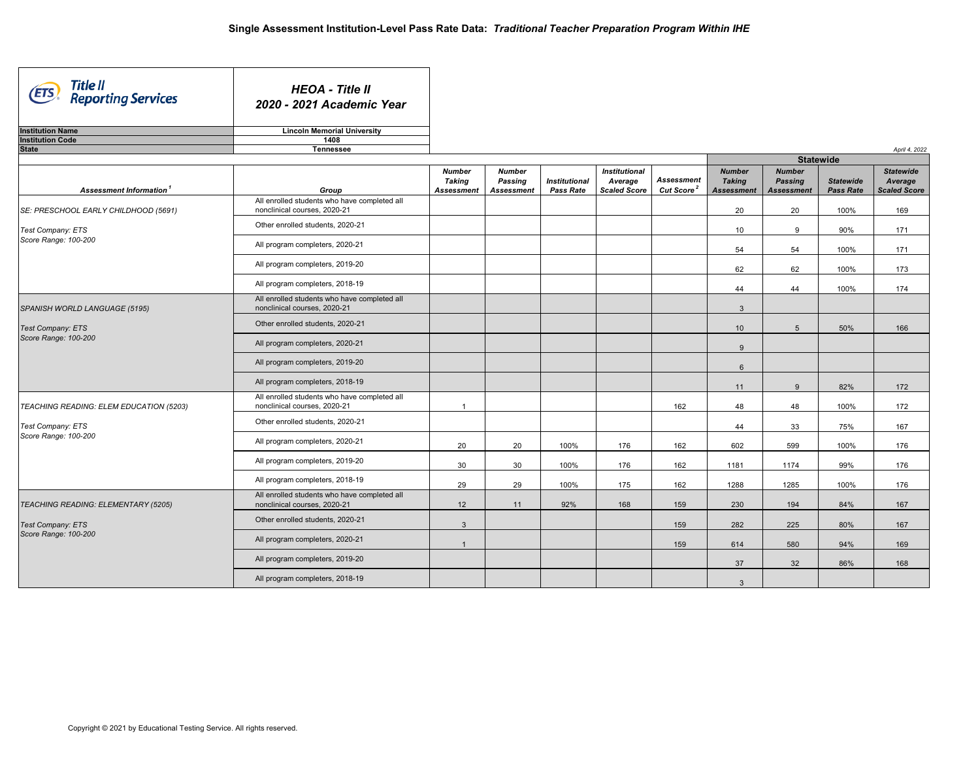| Title II<br>Reporting Services<br>(ETS    | <b>HEOA - Title II</b><br>2020 - 2021 Academic Year                          |                                                     |                                               |                                   |                                                        |                                      |                                                     |                                                      |                                      |                                                    |
|-------------------------------------------|------------------------------------------------------------------------------|-----------------------------------------------------|-----------------------------------------------|-----------------------------------|--------------------------------------------------------|--------------------------------------|-----------------------------------------------------|------------------------------------------------------|--------------------------------------|----------------------------------------------------|
| <b>Institution Name</b>                   | <b>Lincoln Memorial University</b>                                           |                                                     |                                               |                                   |                                                        |                                      |                                                     |                                                      |                                      |                                                    |
| <b>Institution Code</b><br><b>State</b>   | 1408<br><b>Tennessee</b>                                                     |                                                     |                                               |                                   |                                                        |                                      |                                                     |                                                      |                                      |                                                    |
|                                           |                                                                              |                                                     |                                               |                                   |                                                        |                                      |                                                     | <b>Statewide</b>                                     |                                      | April 4, 2022                                      |
| Assessment Information <sup>1</sup>       | Group                                                                        | <b>Number</b><br><b>Taking</b><br><b>Assessment</b> | <b>Number</b><br>Passing<br><b>Assessment</b> | <b>Institutional</b><br>Pass Rate | <b>Institutional</b><br>Average<br><b>Scaled Score</b> | Assessment<br>Cut Score <sup>2</sup> | <b>Number</b><br><b>Taking</b><br><b>Assessment</b> | <b>Number</b><br><b>Passing</b><br><b>Assessment</b> | <b>Statewide</b><br><b>Pass Rate</b> | <b>Statewide</b><br>Average<br><b>Scaled Score</b> |
| SE: PRESCHOOL EARLY CHILDHOOD (5691)      | All enrolled students who have completed all<br>nonclinical courses, 2020-21 |                                                     |                                               |                                   |                                                        |                                      | 20                                                  | 20                                                   | 100%                                 | 169                                                |
| Test Company: ETS                         | Other enrolled students, 2020-21                                             |                                                     |                                               |                                   |                                                        |                                      | 10                                                  | 9                                                    | 90%                                  | 171                                                |
| Score Range: 100-200                      | All program completers, 2020-21                                              |                                                     |                                               |                                   |                                                        |                                      | 54                                                  | 54                                                   | 100%                                 | 171                                                |
|                                           | All program completers, 2019-20                                              |                                                     |                                               |                                   |                                                        |                                      | 62                                                  | 62                                                   | 100%                                 | 173                                                |
|                                           | All program completers, 2018-19                                              |                                                     |                                               |                                   |                                                        |                                      | 44                                                  | 44                                                   | 100%                                 | 174                                                |
| SPANISH WORLD LANGUAGE (5195)             | All enrolled students who have completed all<br>nonclinical courses, 2020-21 |                                                     |                                               |                                   |                                                        |                                      | $\mathbf{3}$                                        |                                                      |                                      |                                                    |
| Test Company: ETS                         | Other enrolled students, 2020-21                                             |                                                     |                                               |                                   |                                                        |                                      | 10 <sup>1</sup>                                     | $5\overline{)}$                                      | 50%                                  | 166                                                |
| Score Range: 100-200                      | All program completers, 2020-21                                              |                                                     |                                               |                                   |                                                        |                                      | 9                                                   |                                                      |                                      |                                                    |
|                                           | All program completers, 2019-20                                              |                                                     |                                               |                                   |                                                        |                                      | $6\phantom{1}$                                      |                                                      |                                      |                                                    |
|                                           | All program completers, 2018-19                                              |                                                     |                                               |                                   |                                                        |                                      | 11                                                  | 9                                                    | 82%                                  | 172                                                |
| TEACHING READING: ELEM EDUCATION (5203)   | All enrolled students who have completed all<br>nonclinical courses, 2020-21 | -1                                                  |                                               |                                   |                                                        | 162                                  | 48                                                  | 48                                                   | 100%                                 | 172                                                |
| Test Company: ETS                         | Other enrolled students, 2020-21                                             |                                                     |                                               |                                   |                                                        |                                      | 44                                                  | 33                                                   | 75%                                  | 167                                                |
| Score Range: 100-200                      | All program completers, 2020-21                                              | 20                                                  | 20                                            | 100%                              | 176                                                    | 162                                  | 602                                                 | 599                                                  | 100%                                 | 176                                                |
|                                           | All program completers, 2019-20                                              | 30                                                  | 30                                            | 100%                              | 176                                                    | 162                                  | 1181                                                | 1174                                                 | 99%                                  | 176                                                |
|                                           | All program completers, 2018-19                                              | 29                                                  | 29                                            | 100%                              | 175                                                    | 162                                  | 1288                                                | 1285                                                 | 100%                                 | 176                                                |
| TEACHING READING: ELEMENTARY (5205)       | All enrolled students who have completed all<br>nonclinical courses, 2020-21 | 12                                                  | 11                                            | 92%                               | 168                                                    | 159                                  | 230                                                 | 194                                                  | 84%                                  | 167                                                |
| Test Company: ETS<br>Score Range: 100-200 | Other enrolled students, 2020-21                                             | $\mathbf{3}$                                        |                                               |                                   |                                                        | 159                                  | 282                                                 | 225                                                  | 80%                                  | 167                                                |
|                                           | All program completers, 2020-21                                              | $\overline{1}$                                      |                                               |                                   |                                                        | 159                                  | 614                                                 | 580                                                  | 94%                                  | 169                                                |
|                                           | All program completers, 2019-20                                              |                                                     |                                               |                                   |                                                        |                                      | 37                                                  | 32                                                   | 86%                                  | 168                                                |
|                                           | All program completers, 2018-19                                              |                                                     |                                               |                                   |                                                        |                                      | $\mathbf{3}$                                        |                                                      |                                      |                                                    |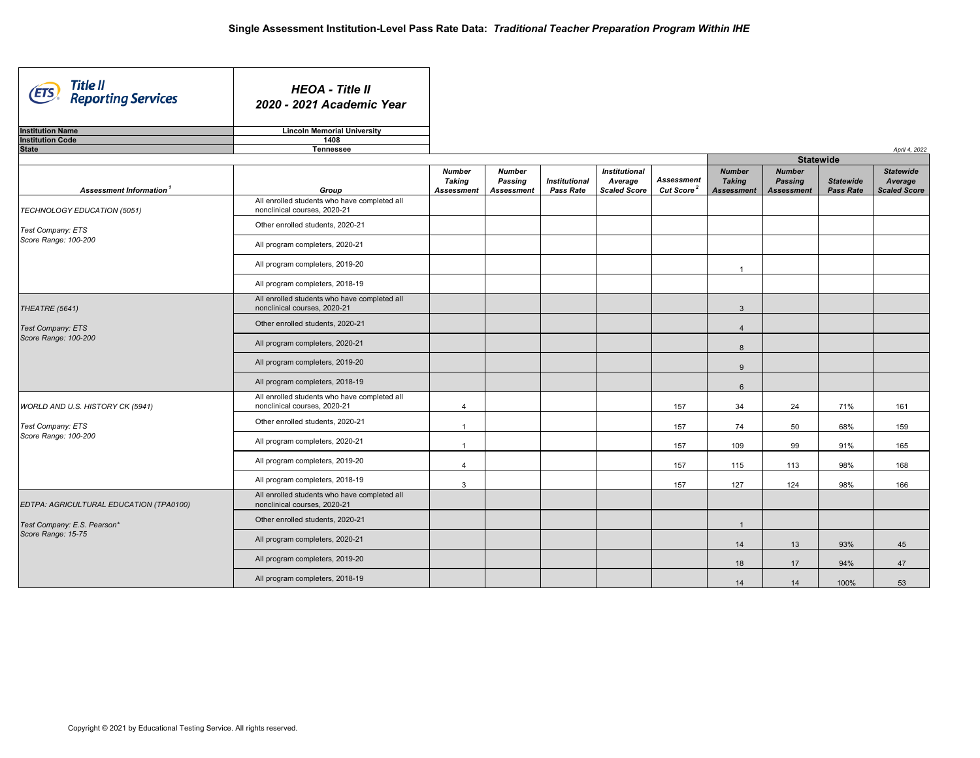| Title II<br>Reporting Services<br>(ETS  | <b>HEOA - Title II</b><br>2020 - 2021 Academic Year                          |                                              |                                               |                                          |                                                        |                                             |                                                     |                                                      |                                      |                                                    |  |  |
|-----------------------------------------|------------------------------------------------------------------------------|----------------------------------------------|-----------------------------------------------|------------------------------------------|--------------------------------------------------------|---------------------------------------------|-----------------------------------------------------|------------------------------------------------------|--------------------------------------|----------------------------------------------------|--|--|
| <b>Institution Name</b>                 | <b>Lincoln Memorial University</b>                                           |                                              |                                               |                                          |                                                        |                                             |                                                     |                                                      |                                      |                                                    |  |  |
| <b>Institution Code</b>                 | 1408                                                                         |                                              |                                               |                                          |                                                        |                                             |                                                     |                                                      |                                      |                                                    |  |  |
| <b>State</b>                            | Tennessee                                                                    |                                              |                                               |                                          |                                                        |                                             |                                                     |                                                      |                                      | April 4, 2022                                      |  |  |
|                                         |                                                                              |                                              |                                               |                                          |                                                        |                                             |                                                     | <b>Statewide</b>                                     |                                      |                                                    |  |  |
| Assessment Information <sup>1</sup>     | Group                                                                        | <b>Number</b><br>Taking<br><b>Assessment</b> | <b>Number</b><br>Passing<br><b>Assessment</b> | <b>Institutional</b><br><b>Pass Rate</b> | <b>Institutional</b><br>Average<br><b>Scaled Score</b> | <b>Assessment</b><br>Cut Score <sup>2</sup> | <b>Number</b><br><b>Taking</b><br><b>Assessment</b> | <b>Number</b><br><b>Passing</b><br><b>Assessment</b> | <b>Statewide</b><br><b>Pass Rate</b> | <b>Statewide</b><br>Average<br><b>Scaled Score</b> |  |  |
| TECHNOLOGY EDUCATION (5051)             | All enrolled students who have completed all<br>nonclinical courses, 2020-21 |                                              |                                               |                                          |                                                        |                                             |                                                     |                                                      |                                      |                                                    |  |  |
| Test Company: ETS                       | Other enrolled students, 2020-21                                             |                                              |                                               |                                          |                                                        |                                             |                                                     |                                                      |                                      |                                                    |  |  |
| Score Range: 100-200                    | All program completers, 2020-21                                              |                                              |                                               |                                          |                                                        |                                             |                                                     |                                                      |                                      |                                                    |  |  |
|                                         | All program completers, 2019-20                                              |                                              |                                               |                                          |                                                        |                                             | $\overline{1}$                                      |                                                      |                                      |                                                    |  |  |
|                                         | All program completers, 2018-19                                              |                                              |                                               |                                          |                                                        |                                             |                                                     |                                                      |                                      |                                                    |  |  |
| THEATRE (5641)                          | All enrolled students who have completed all<br>nonclinical courses, 2020-21 |                                              |                                               |                                          |                                                        |                                             | $\mathbf{3}$                                        |                                                      |                                      |                                                    |  |  |
| Test Company: ETS                       | Other enrolled students, 2020-21                                             |                                              |                                               |                                          |                                                        |                                             | $\overline{4}$                                      |                                                      |                                      |                                                    |  |  |
| Score Range: 100-200                    | All program completers, 2020-21                                              |                                              |                                               |                                          |                                                        |                                             | 8                                                   |                                                      |                                      |                                                    |  |  |
|                                         | All program completers, 2019-20                                              |                                              |                                               |                                          |                                                        |                                             | 9                                                   |                                                      |                                      |                                                    |  |  |
|                                         | All program completers, 2018-19                                              |                                              |                                               |                                          |                                                        |                                             | 6                                                   |                                                      |                                      |                                                    |  |  |
| WORLD AND U.S. HISTORY CK (5941)        | All enrolled students who have completed all<br>nonclinical courses, 2020-21 | $\overline{4}$                               |                                               |                                          |                                                        | 157                                         | 34                                                  | 24                                                   | 71%                                  | 161                                                |  |  |
| Test Company: ETS                       | Other enrolled students, 2020-21                                             | $\overline{1}$                               |                                               |                                          |                                                        | 157                                         | 74                                                  | 50                                                   | 68%                                  | 159                                                |  |  |
| Score Range: 100-200                    | All program completers, 2020-21                                              | $\overline{1}$                               |                                               |                                          |                                                        | 157                                         | 109                                                 | 99                                                   | 91%                                  | 165                                                |  |  |
|                                         | All program completers, 2019-20                                              | $\overline{4}$                               |                                               |                                          |                                                        | 157                                         | 115                                                 | 113                                                  | 98%                                  | 168                                                |  |  |
|                                         | All program completers, 2018-19                                              | 3                                            |                                               |                                          |                                                        | 157                                         | 127                                                 | 124                                                  | 98%                                  | 166                                                |  |  |
| EDTPA: AGRICULTURAL EDUCATION (TPA0100) | All enrolled students who have completed all<br>nonclinical courses, 2020-21 |                                              |                                               |                                          |                                                        |                                             |                                                     |                                                      |                                      |                                                    |  |  |
| Test Company: E.S. Pearson*             | Other enrolled students, 2020-21                                             |                                              |                                               |                                          |                                                        |                                             | $\mathbf{1}$                                        |                                                      |                                      |                                                    |  |  |
| Score Range: 15-75                      | All program completers, 2020-21                                              |                                              |                                               |                                          |                                                        |                                             | 14                                                  | 13                                                   | 93%                                  | 45                                                 |  |  |
|                                         | All program completers, 2019-20                                              |                                              |                                               |                                          |                                                        |                                             | 18                                                  | 17                                                   | 94%                                  | 47                                                 |  |  |
|                                         | All program completers, 2018-19                                              |                                              |                                               |                                          |                                                        |                                             | 14                                                  | 14                                                   | 100%                                 | 53                                                 |  |  |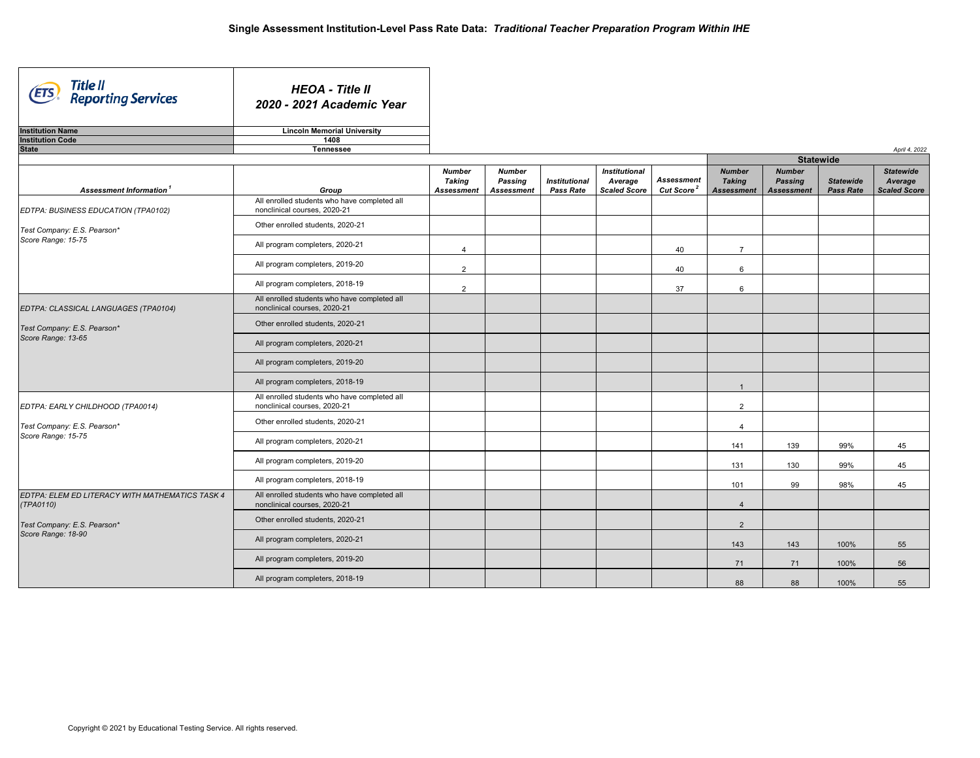| Title II<br>Reporting Services<br>(ETS                       | <b>HEOA - Title II</b><br>2020 - 2021 Academic Year                          |                                              |                                               |                                          |                                                        |                                             |                                                     |                                                      |                                      |                                                    |  |  |
|--------------------------------------------------------------|------------------------------------------------------------------------------|----------------------------------------------|-----------------------------------------------|------------------------------------------|--------------------------------------------------------|---------------------------------------------|-----------------------------------------------------|------------------------------------------------------|--------------------------------------|----------------------------------------------------|--|--|
| <b>Institution Name</b>                                      | <b>Lincoln Memorial University</b>                                           |                                              |                                               |                                          |                                                        |                                             |                                                     |                                                      |                                      |                                                    |  |  |
| <b>Institution Code</b>                                      | 1408                                                                         |                                              |                                               |                                          |                                                        |                                             |                                                     |                                                      |                                      |                                                    |  |  |
| <b>State</b>                                                 | <b>Tennessee</b>                                                             |                                              |                                               |                                          |                                                        |                                             |                                                     |                                                      |                                      | April 4, 2022                                      |  |  |
|                                                              |                                                                              |                                              |                                               |                                          |                                                        |                                             |                                                     | <b>Statewide</b>                                     |                                      |                                                    |  |  |
| Assessment Information <sup>1</sup>                          | Group                                                                        | <b>Number</b><br>Taking<br><b>Assessment</b> | <b>Number</b><br>Passing<br><b>Assessment</b> | <b>Institutional</b><br><b>Pass Rate</b> | <b>Institutional</b><br>Average<br><b>Scaled Score</b> | <b>Assessment</b><br>Cut Score <sup>2</sup> | <b>Number</b><br><b>Taking</b><br><b>Assessment</b> | <b>Number</b><br><b>Passing</b><br><b>Assessment</b> | <b>Statewide</b><br><b>Pass Rate</b> | <b>Statewide</b><br>Average<br><b>Scaled Score</b> |  |  |
| EDTPA: BUSINESS EDUCATION (TPA0102)                          | All enrolled students who have completed all<br>nonclinical courses, 2020-21 |                                              |                                               |                                          |                                                        |                                             |                                                     |                                                      |                                      |                                                    |  |  |
| Test Company: E.S. Pearson*                                  | Other enrolled students, 2020-21                                             |                                              |                                               |                                          |                                                        |                                             |                                                     |                                                      |                                      |                                                    |  |  |
| Score Range: 15-75                                           | All program completers, 2020-21                                              | $\overline{\mathbf{4}}$                      |                                               |                                          |                                                        | 40                                          | $\overline{7}$                                      |                                                      |                                      |                                                    |  |  |
|                                                              | All program completers, 2019-20                                              | 2                                            |                                               |                                          |                                                        | 40                                          | 6                                                   |                                                      |                                      |                                                    |  |  |
|                                                              | All program completers, 2018-19                                              | 2                                            |                                               |                                          |                                                        | 37                                          | 6                                                   |                                                      |                                      |                                                    |  |  |
| EDTPA: CLASSICAL LANGUAGES (TPA0104)                         | All enrolled students who have completed all<br>nonclinical courses, 2020-21 |                                              |                                               |                                          |                                                        |                                             |                                                     |                                                      |                                      |                                                    |  |  |
| Test Company: E.S. Pearson*                                  | Other enrolled students, 2020-21                                             |                                              |                                               |                                          |                                                        |                                             |                                                     |                                                      |                                      |                                                    |  |  |
| Score Range: 13-65                                           | All program completers, 2020-21                                              |                                              |                                               |                                          |                                                        |                                             |                                                     |                                                      |                                      |                                                    |  |  |
|                                                              | All program completers, 2019-20                                              |                                              |                                               |                                          |                                                        |                                             |                                                     |                                                      |                                      |                                                    |  |  |
|                                                              | All program completers, 2018-19                                              |                                              |                                               |                                          |                                                        |                                             | $\overline{1}$                                      |                                                      |                                      |                                                    |  |  |
| EDTPA: EARLY CHILDHOOD (TPA0014)                             | All enrolled students who have completed all<br>nonclinical courses, 2020-21 |                                              |                                               |                                          |                                                        |                                             | $\overline{2}$                                      |                                                      |                                      |                                                    |  |  |
| Test Company: E.S. Pearson*                                  | Other enrolled students, 2020-21                                             |                                              |                                               |                                          |                                                        |                                             | $\overline{4}$                                      |                                                      |                                      |                                                    |  |  |
| Score Range: 15-75                                           | All program completers, 2020-21                                              |                                              |                                               |                                          |                                                        |                                             | 141                                                 | 139                                                  | 99%                                  | 45                                                 |  |  |
|                                                              | All program completers, 2019-20                                              |                                              |                                               |                                          |                                                        |                                             | 131                                                 | 130                                                  | 99%                                  | 45                                                 |  |  |
|                                                              | All program completers, 2018-19                                              |                                              |                                               |                                          |                                                        |                                             | 101                                                 | 99                                                   | 98%                                  | 45                                                 |  |  |
| EDTPA: ELEM ED LITERACY WITH MATHEMATICS TASK 4<br>(TPA0110) | All enrolled students who have completed all<br>nonclinical courses, 2020-21 |                                              |                                               |                                          |                                                        |                                             | $\overline{4}$                                      |                                                      |                                      |                                                    |  |  |
| Test Company: E.S. Pearson*                                  | Other enrolled students, 2020-21                                             |                                              |                                               |                                          |                                                        |                                             | $\overline{2}$                                      |                                                      |                                      |                                                    |  |  |
| Score Range: 18-90                                           | All program completers, 2020-21                                              |                                              |                                               |                                          |                                                        |                                             | 143                                                 | 143                                                  | 100%                                 | 55                                                 |  |  |
|                                                              | All program completers, 2019-20                                              |                                              |                                               |                                          |                                                        |                                             | 71                                                  | 71                                                   | 100%                                 | 56                                                 |  |  |
|                                                              | All program completers, 2018-19                                              |                                              |                                               |                                          |                                                        |                                             | 88                                                  | 88                                                   | 100%                                 | 55                                                 |  |  |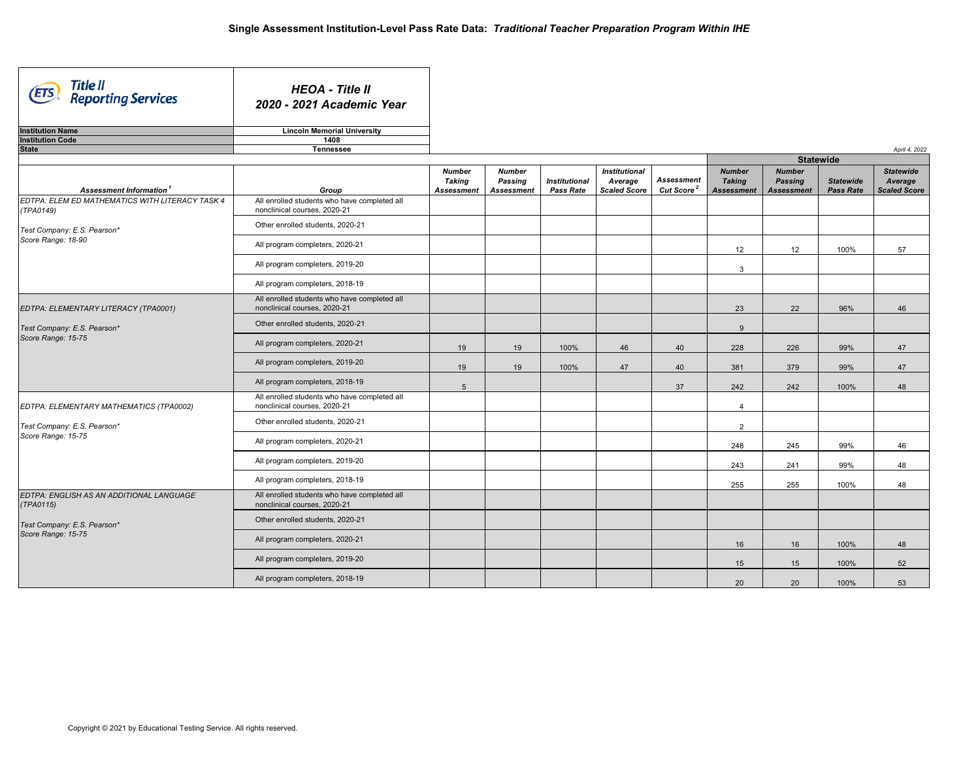| Title II<br>Reporting Services<br>(ETS                       | <b>HEOA - Title II</b><br>2020 - 2021 Academic Year                          |                                       |                                               |                                          |                                                        |                                             |                                              |                                                      |                                      |                                                    |  |
|--------------------------------------------------------------|------------------------------------------------------------------------------|---------------------------------------|-----------------------------------------------|------------------------------------------|--------------------------------------------------------|---------------------------------------------|----------------------------------------------|------------------------------------------------------|--------------------------------------|----------------------------------------------------|--|
| <b>Institution Name</b>                                      | <b>Lincoln Memorial University</b>                                           |                                       |                                               |                                          |                                                        |                                             |                                              |                                                      |                                      |                                                    |  |
| <b>Institution Code</b><br><b>State</b>                      | 1408<br><b>Tennessee</b>                                                     |                                       |                                               |                                          |                                                        |                                             |                                              |                                                      |                                      | April 4, 2022                                      |  |
|                                                              |                                                                              |                                       |                                               |                                          |                                                        |                                             |                                              |                                                      | <b>Statewide</b>                     |                                                    |  |
| Assessment Information <sup>1</sup>                          | Group                                                                        | <b>Number</b><br>Taking<br>Assessment | <b>Number</b><br>Passing<br><b>Assessment</b> | <b>Institutional</b><br><b>Pass Rate</b> | <b>Institutional</b><br>Average<br><b>Scaled Score</b> | <b>Assessment</b><br>Cut Score <sup>2</sup> | <b>Number</b><br><b>Taking</b><br>Assessment | <b>Number</b><br><b>Passing</b><br><b>Assessment</b> | <b>Statewide</b><br><b>Pass Rate</b> | <b>Statewide</b><br>Average<br><b>Scaled Score</b> |  |
| EDTPA: ELEM ED MATHEMATICS WITH LITERACY TASK 4<br>(TPA0149) | All enrolled students who have completed all<br>nonclinical courses, 2020-21 |                                       |                                               |                                          |                                                        |                                             |                                              |                                                      |                                      |                                                    |  |
| Test Company: E.S. Pearson*                                  | Other enrolled students, 2020-21                                             |                                       |                                               |                                          |                                                        |                                             |                                              |                                                      |                                      |                                                    |  |
| Score Range: 18-90                                           | All program completers, 2020-21                                              |                                       |                                               |                                          |                                                        |                                             | 12                                           | 12                                                   | 100%                                 | 57                                                 |  |
|                                                              | All program completers, 2019-20                                              |                                       |                                               |                                          |                                                        |                                             | 3                                            |                                                      |                                      |                                                    |  |
|                                                              | All program completers, 2018-19                                              |                                       |                                               |                                          |                                                        |                                             |                                              |                                                      |                                      |                                                    |  |
| EDTPA: ELEMENTARY LITERACY (TPA0001)                         | All enrolled students who have completed all<br>nonclinical courses, 2020-21 |                                       |                                               |                                          |                                                        |                                             | 23                                           | 22                                                   | 96%                                  | 46                                                 |  |
| Test Company: E.S. Pearson*                                  | Other enrolled students, 2020-21                                             |                                       |                                               |                                          |                                                        |                                             | 9                                            |                                                      |                                      |                                                    |  |
| Score Range: 15-75                                           | All program completers, 2020-21                                              | 19                                    | 19                                            | 100%                                     | 46                                                     | 40                                          | 228                                          | 226                                                  | 99%                                  | 47                                                 |  |
|                                                              | All program completers, 2019-20                                              | 19                                    | 19                                            | 100%                                     | 47                                                     | 40                                          | 381                                          | 379                                                  | 99%                                  | 47                                                 |  |
|                                                              | All program completers, 2018-19                                              | $5\overline{)}$                       |                                               |                                          |                                                        | 37                                          | 242                                          | 242                                                  | 100%                                 | 48                                                 |  |
| EDTPA: ELEMENTARY MATHEMATICS (TPA0002)                      | All enrolled students who have completed all<br>nonclinical courses, 2020-21 |                                       |                                               |                                          |                                                        |                                             | $\overline{4}$                               |                                                      |                                      |                                                    |  |
| Test Company: E.S. Pearson*                                  | Other enrolled students, 2020-21                                             |                                       |                                               |                                          |                                                        |                                             | $\overline{2}$                               |                                                      |                                      |                                                    |  |
| Score Range: 15-75                                           | All program completers, 2020-21                                              |                                       |                                               |                                          |                                                        |                                             | 248                                          | 245                                                  | 99%                                  | 46                                                 |  |
|                                                              | All program completers, 2019-20                                              |                                       |                                               |                                          |                                                        |                                             | 243                                          | 241                                                  | 99%                                  | 48                                                 |  |
|                                                              | All program completers, 2018-19                                              |                                       |                                               |                                          |                                                        |                                             | 255                                          | 255                                                  | 100%                                 | 48                                                 |  |
| EDTPA: ENGLISH AS AN ADDITIONAL LANGUAGE<br>(TPA0115)        | All enrolled students who have completed all<br>nonclinical courses, 2020-21 |                                       |                                               |                                          |                                                        |                                             |                                              |                                                      |                                      |                                                    |  |
| Test Company: E.S. Pearson*                                  | Other enrolled students, 2020-21                                             |                                       |                                               |                                          |                                                        |                                             |                                              |                                                      |                                      |                                                    |  |
| Score Range: 15-75                                           | All program completers, 2020-21                                              |                                       |                                               |                                          |                                                        |                                             | 16                                           | 16                                                   | 100%                                 | 48                                                 |  |
|                                                              | All program completers, 2019-20                                              |                                       |                                               |                                          |                                                        |                                             | 15                                           | 15                                                   | 100%                                 | 52                                                 |  |
|                                                              | All program completers, 2018-19                                              |                                       |                                               |                                          |                                                        |                                             | 20                                           | 20                                                   | 100%                                 | 53                                                 |  |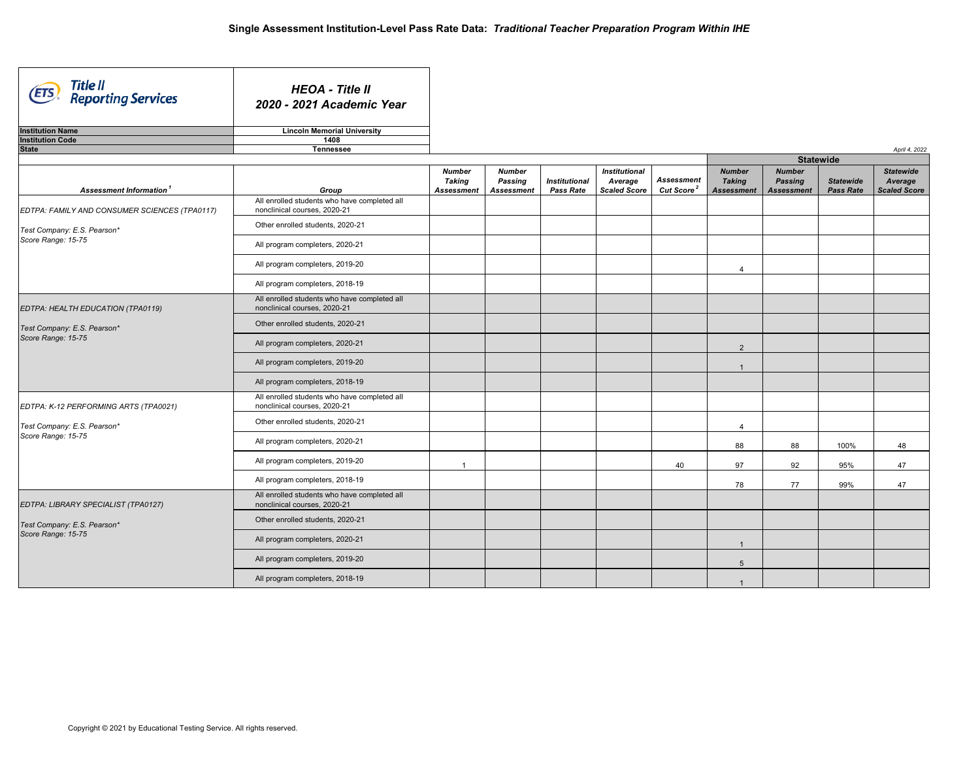| Title II<br>Reporting Services<br><b>ETS</b>  | <b>HEOA - Title II</b><br>2020 - 2021 Academic Year                          |                                                     |                                               |                                          |                                                        |                                             |                                                     |                                                      |                                      |                                                    |
|-----------------------------------------------|------------------------------------------------------------------------------|-----------------------------------------------------|-----------------------------------------------|------------------------------------------|--------------------------------------------------------|---------------------------------------------|-----------------------------------------------------|------------------------------------------------------|--------------------------------------|----------------------------------------------------|
| <b>Institution Name</b>                       | <b>Lincoln Memorial University</b>                                           |                                                     |                                               |                                          |                                                        |                                             |                                                     |                                                      |                                      |                                                    |
| <b>Institution Code</b>                       | 1408                                                                         |                                                     |                                               |                                          |                                                        |                                             |                                                     |                                                      |                                      |                                                    |
| <b>State</b>                                  | Tennessee                                                                    |                                                     |                                               |                                          |                                                        |                                             |                                                     |                                                      |                                      | April 4, 2022                                      |
|                                               |                                                                              |                                                     |                                               |                                          |                                                        |                                             |                                                     |                                                      | <b>Statewide</b>                     |                                                    |
| Assessment Information <sup>1</sup>           | Group                                                                        | <b>Number</b><br><b>Taking</b><br><b>Assessment</b> | <b>Number</b><br>Passing<br><b>Assessment</b> | <b>Institutional</b><br><b>Pass Rate</b> | <b>Institutional</b><br>Average<br><b>Scaled Score</b> | <b>Assessment</b><br>Cut Score <sup>2</sup> | <b>Number</b><br><b>Taking</b><br><b>Assessment</b> | <b>Number</b><br><b>Passing</b><br><b>Assessment</b> | <b>Statewide</b><br><b>Pass Rate</b> | <b>Statewide</b><br>Average<br><b>Scaled Score</b> |
| EDTPA: FAMILY AND CONSUMER SCIENCES (TPA0117) | All enrolled students who have completed all<br>nonclinical courses, 2020-21 |                                                     |                                               |                                          |                                                        |                                             |                                                     |                                                      |                                      |                                                    |
| Test Company: E.S. Pearson*                   | Other enrolled students, 2020-21                                             |                                                     |                                               |                                          |                                                        |                                             |                                                     |                                                      |                                      |                                                    |
| Score Range: 15-75                            | All program completers, 2020-21                                              |                                                     |                                               |                                          |                                                        |                                             |                                                     |                                                      |                                      |                                                    |
|                                               | All program completers, 2019-20                                              |                                                     |                                               |                                          |                                                        |                                             | $\overline{4}$                                      |                                                      |                                      |                                                    |
|                                               | All program completers, 2018-19                                              |                                                     |                                               |                                          |                                                        |                                             |                                                     |                                                      |                                      |                                                    |
| EDTPA: HEALTH EDUCATION (TPA0119)             | All enrolled students who have completed all<br>nonclinical courses, 2020-21 |                                                     |                                               |                                          |                                                        |                                             |                                                     |                                                      |                                      |                                                    |
| Test Company: E.S. Pearson*                   | Other enrolled students, 2020-21                                             |                                                     |                                               |                                          |                                                        |                                             |                                                     |                                                      |                                      |                                                    |
| Score Range: 15-75                            | All program completers, 2020-21                                              |                                                     |                                               |                                          |                                                        |                                             | $\overline{2}$                                      |                                                      |                                      |                                                    |
|                                               | All program completers, 2019-20                                              |                                                     |                                               |                                          |                                                        |                                             | $\mathbf{1}$                                        |                                                      |                                      |                                                    |
|                                               | All program completers, 2018-19                                              |                                                     |                                               |                                          |                                                        |                                             |                                                     |                                                      |                                      |                                                    |
| EDTPA: K-12 PERFORMING ARTS (TPA0021)         | All enrolled students who have completed all<br>nonclinical courses, 2020-21 |                                                     |                                               |                                          |                                                        |                                             |                                                     |                                                      |                                      |                                                    |
| Test Company: E.S. Pearson*                   | Other enrolled students, 2020-21                                             |                                                     |                                               |                                          |                                                        |                                             | $\overline{4}$                                      |                                                      |                                      |                                                    |
| Score Range: 15-75                            | All program completers, 2020-21                                              |                                                     |                                               |                                          |                                                        |                                             | 88                                                  | 88                                                   | 100%                                 | 48                                                 |
|                                               | All program completers, 2019-20                                              | 1                                                   |                                               |                                          |                                                        | 40                                          | 97                                                  | 92                                                   | 95%                                  | 47                                                 |
|                                               | All program completers, 2018-19                                              |                                                     |                                               |                                          |                                                        |                                             | 78                                                  | 77                                                   | 99%                                  | 47                                                 |
| EDTPA: LIBRARY SPECIALIST (TPA0127)           | All enrolled students who have completed all<br>nonclinical courses, 2020-21 |                                                     |                                               |                                          |                                                        |                                             |                                                     |                                                      |                                      |                                                    |
| Test Company: E.S. Pearson*                   | Other enrolled students, 2020-21                                             |                                                     |                                               |                                          |                                                        |                                             |                                                     |                                                      |                                      |                                                    |
| Score Range: 15-75                            | All program completers, 2020-21                                              |                                                     |                                               |                                          |                                                        |                                             | $\overline{1}$                                      |                                                      |                                      |                                                    |
|                                               | All program completers, 2019-20                                              |                                                     |                                               |                                          |                                                        |                                             | 5                                                   |                                                      |                                      |                                                    |
|                                               | All program completers, 2018-19                                              |                                                     |                                               |                                          |                                                        |                                             | $\mathbf{1}$                                        |                                                      |                                      |                                                    |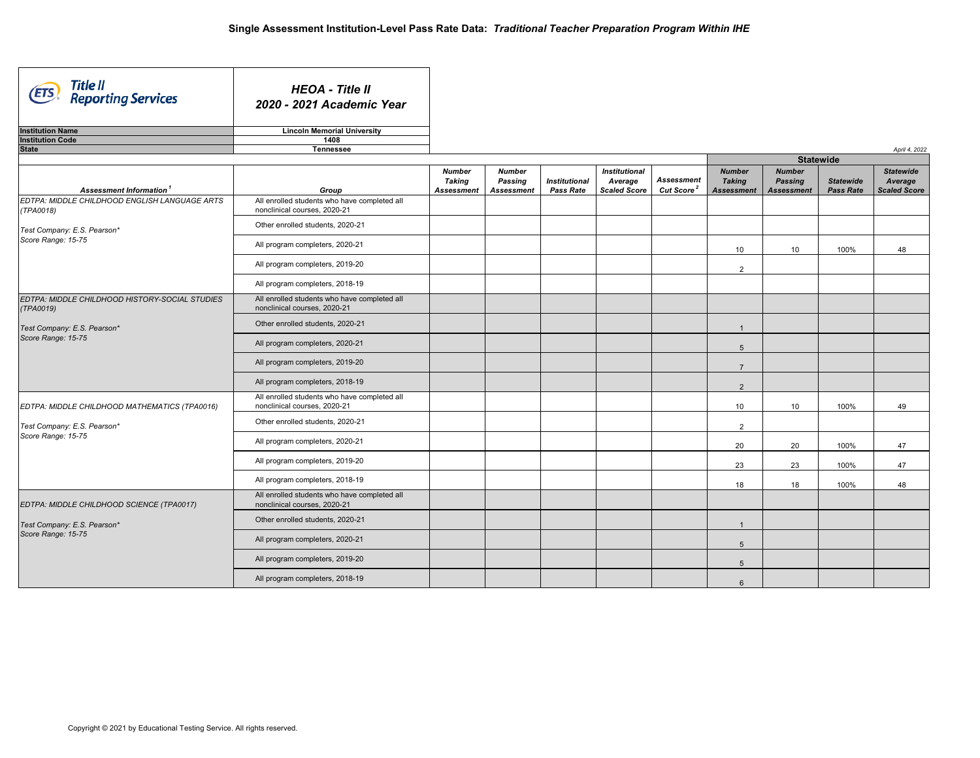| Title II<br>Reporting Services<br>ETS)                      | <b>HEOA - Title II</b><br>2020 - 2021 Academic Year                          |                                                     |                                               |                                          |                                                        |                                             |                                                     |                                                      |                                      |                                                    |  |  |
|-------------------------------------------------------------|------------------------------------------------------------------------------|-----------------------------------------------------|-----------------------------------------------|------------------------------------------|--------------------------------------------------------|---------------------------------------------|-----------------------------------------------------|------------------------------------------------------|--------------------------------------|----------------------------------------------------|--|--|
| <b>Institution Name</b>                                     | <b>Lincoln Memorial University</b>                                           |                                                     |                                               |                                          |                                                        |                                             |                                                     |                                                      |                                      |                                                    |  |  |
| <b>Institution Code</b>                                     | 1408                                                                         |                                                     |                                               |                                          |                                                        |                                             |                                                     |                                                      |                                      |                                                    |  |  |
| <b>State</b>                                                | <b>Tennessee</b>                                                             |                                                     |                                               |                                          |                                                        |                                             |                                                     |                                                      |                                      | April 4, 2022                                      |  |  |
|                                                             |                                                                              |                                                     |                                               |                                          |                                                        |                                             |                                                     | <b>Statewide</b>                                     |                                      |                                                    |  |  |
| Assessment Information <sup>1</sup>                         | Group                                                                        | <b>Number</b><br><b>Taking</b><br><b>Assessment</b> | <b>Number</b><br>Passing<br><b>Assessment</b> | <b>Institutional</b><br><b>Pass Rate</b> | <b>Institutional</b><br>Average<br><b>Scaled Score</b> | <b>Assessment</b><br>Cut Score <sup>2</sup> | <b>Number</b><br><b>Taking</b><br><b>Assessment</b> | <b>Number</b><br><b>Passing</b><br><b>Assessment</b> | <b>Statewide</b><br><b>Pass Rate</b> | <b>Statewide</b><br>Average<br><b>Scaled Score</b> |  |  |
| EDTPA: MIDDLE CHILDHOOD ENGLISH LANGUAGE ARTS<br>(TPA0018)  | All enrolled students who have completed all<br>nonclinical courses, 2020-21 |                                                     |                                               |                                          |                                                        |                                             |                                                     |                                                      |                                      |                                                    |  |  |
| Test Company: E.S. Pearson*                                 | Other enrolled students, 2020-21                                             |                                                     |                                               |                                          |                                                        |                                             |                                                     |                                                      |                                      |                                                    |  |  |
| Score Range: 15-75                                          | All program completers, 2020-21                                              |                                                     |                                               |                                          |                                                        |                                             | 10                                                  | 10                                                   | 100%                                 | 48                                                 |  |  |
|                                                             | All program completers, 2019-20                                              |                                                     |                                               |                                          |                                                        |                                             | 2                                                   |                                                      |                                      |                                                    |  |  |
|                                                             | All program completers, 2018-19                                              |                                                     |                                               |                                          |                                                        |                                             |                                                     |                                                      |                                      |                                                    |  |  |
| EDTPA: MIDDLE CHILDHOOD HISTORY-SOCIAL STUDIES<br>(TPA0019) | All enrolled students who have completed all<br>nonclinical courses, 2020-21 |                                                     |                                               |                                          |                                                        |                                             |                                                     |                                                      |                                      |                                                    |  |  |
| Test Company: E.S. Pearson*                                 | Other enrolled students, 2020-21                                             |                                                     |                                               |                                          |                                                        |                                             | $\overline{1}$                                      |                                                      |                                      |                                                    |  |  |
| Score Range: 15-75                                          | All program completers, 2020-21                                              |                                                     |                                               |                                          |                                                        |                                             | 5                                                   |                                                      |                                      |                                                    |  |  |
|                                                             | All program completers, 2019-20                                              |                                                     |                                               |                                          |                                                        |                                             | $\overline{7}$                                      |                                                      |                                      |                                                    |  |  |
|                                                             | All program completers, 2018-19                                              |                                                     |                                               |                                          |                                                        |                                             | $\overline{2}$                                      |                                                      |                                      |                                                    |  |  |
| EDTPA: MIDDLE CHILDHOOD MATHEMATICS (TPA0016)               | All enrolled students who have completed all<br>nonclinical courses, 2020-21 |                                                     |                                               |                                          |                                                        |                                             | 10                                                  | 10                                                   | 100%                                 | 49                                                 |  |  |
| Test Company: E.S. Pearson*                                 | Other enrolled students, 2020-21                                             |                                                     |                                               |                                          |                                                        |                                             | $\overline{2}$                                      |                                                      |                                      |                                                    |  |  |
| Score Range: 15-75                                          | All program completers, 2020-21                                              |                                                     |                                               |                                          |                                                        |                                             | 20                                                  | 20                                                   | 100%                                 | 47                                                 |  |  |
|                                                             | All program completers, 2019-20                                              |                                                     |                                               |                                          |                                                        |                                             | 23                                                  | 23                                                   | 100%                                 | 47                                                 |  |  |
|                                                             | All program completers, 2018-19                                              |                                                     |                                               |                                          |                                                        |                                             | 18                                                  | 18                                                   | 100%                                 | 48                                                 |  |  |
| EDTPA: MIDDLE CHILDHOOD SCIENCE (TPA0017)                   | All enrolled students who have completed all<br>nonclinical courses, 2020-21 |                                                     |                                               |                                          |                                                        |                                             |                                                     |                                                      |                                      |                                                    |  |  |
| Test Company: E.S. Pearson*                                 | Other enrolled students, 2020-21                                             |                                                     |                                               |                                          |                                                        |                                             | $\overline{1}$                                      |                                                      |                                      |                                                    |  |  |
| Score Range: 15-75                                          | All program completers, 2020-21                                              |                                                     |                                               |                                          |                                                        |                                             | 5                                                   |                                                      |                                      |                                                    |  |  |
|                                                             | All program completers, 2019-20                                              |                                                     |                                               |                                          |                                                        |                                             | $5\overline{)}$                                     |                                                      |                                      |                                                    |  |  |
|                                                             | All program completers, 2018-19                                              |                                                     |                                               |                                          |                                                        |                                             | $6\phantom{1}$                                      |                                                      |                                      |                                                    |  |  |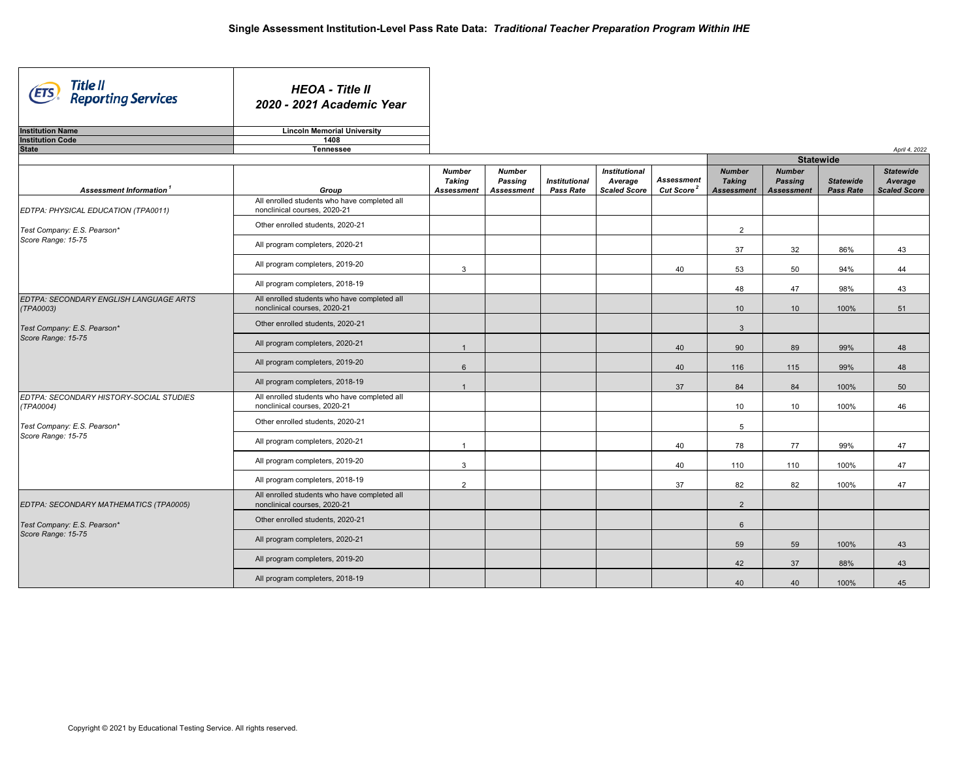| Title II<br>Reporting Services<br>(ETS               | <b>HEOA - Title II</b><br>2020 - 2021 Academic Year                          |                                                     |                                        |                                          |                                                        |                                             |                                              |                                                      |                                      |                                                    |  |  |
|------------------------------------------------------|------------------------------------------------------------------------------|-----------------------------------------------------|----------------------------------------|------------------------------------------|--------------------------------------------------------|---------------------------------------------|----------------------------------------------|------------------------------------------------------|--------------------------------------|----------------------------------------------------|--|--|
| <b>Institution Name</b>                              | <b>Lincoln Memorial University</b>                                           |                                                     |                                        |                                          |                                                        |                                             |                                              |                                                      |                                      |                                                    |  |  |
| <b>Institution Code</b><br><b>State</b>              | 1408<br><b>Tennessee</b>                                                     |                                                     |                                        |                                          |                                                        |                                             |                                              |                                                      |                                      | April 4, 2022                                      |  |  |
|                                                      |                                                                              |                                                     |                                        |                                          |                                                        |                                             |                                              | <b>Statewide</b>                                     |                                      |                                                    |  |  |
| Assessment Information <sup>1</sup>                  | Group                                                                        | <b>Number</b><br><b>Taking</b><br><b>Assessment</b> | <b>Number</b><br>Passing<br>Assessment | <b>Institutional</b><br><b>Pass Rate</b> | <b>Institutional</b><br>Average<br><b>Scaled Score</b> | <b>Assessment</b><br>Cut Score <sup>2</sup> | <b>Number</b><br><b>Taking</b><br>Assessment | <b>Number</b><br><b>Passing</b><br><b>Assessment</b> | <b>Statewide</b><br><b>Pass Rate</b> | <b>Statewide</b><br>Average<br><b>Scaled Score</b> |  |  |
| EDTPA: PHYSICAL EDUCATION (TPA0011)                  | All enrolled students who have completed all<br>nonclinical courses, 2020-21 |                                                     |                                        |                                          |                                                        |                                             |                                              |                                                      |                                      |                                                    |  |  |
| Test Company: E.S. Pearson*                          | Other enrolled students, 2020-21                                             |                                                     |                                        |                                          |                                                        |                                             | $\overline{2}$                               |                                                      |                                      |                                                    |  |  |
| Score Range: 15-75                                   | All program completers, 2020-21                                              |                                                     |                                        |                                          |                                                        |                                             | 37                                           | 32                                                   | 86%                                  | 43                                                 |  |  |
|                                                      | All program completers, 2019-20                                              | 3                                                   |                                        |                                          |                                                        | 40                                          | 53                                           | 50                                                   | 94%                                  | 44                                                 |  |  |
|                                                      | All program completers, 2018-19                                              |                                                     |                                        |                                          |                                                        |                                             | 48                                           | 47                                                   | 98%                                  | 43                                                 |  |  |
| EDTPA: SECONDARY ENGLISH LANGUAGE ARTS<br>(TPA0003)  | All enrolled students who have completed all<br>nonclinical courses, 2020-21 |                                                     |                                        |                                          |                                                        |                                             | 10 <sup>1</sup>                              | 10                                                   | 100%                                 | 51                                                 |  |  |
| Test Company: E.S. Pearson*                          | Other enrolled students, 2020-21                                             |                                                     |                                        |                                          |                                                        |                                             | $\mathbf{3}$                                 |                                                      |                                      |                                                    |  |  |
| Score Range: 15-75                                   | All program completers, 2020-21                                              | $\overline{1}$                                      |                                        |                                          |                                                        | 40                                          | 90                                           | 89                                                   | 99%                                  | 48                                                 |  |  |
|                                                      | All program completers, 2019-20                                              | 6                                                   |                                        |                                          |                                                        | 40                                          | 116                                          | 115                                                  | 99%                                  | 48                                                 |  |  |
|                                                      | All program completers, 2018-19                                              | $\overline{1}$                                      |                                        |                                          |                                                        | 37                                          | 84                                           | 84                                                   | 100%                                 | 50                                                 |  |  |
| EDTPA: SECONDARY HISTORY-SOCIAL STUDIES<br>(TPA0004) | All enrolled students who have completed all<br>nonclinical courses, 2020-21 |                                                     |                                        |                                          |                                                        |                                             | 10                                           | 10                                                   | 100%                                 | 46                                                 |  |  |
| Test Company: E.S. Pearson*                          | Other enrolled students, 2020-21                                             |                                                     |                                        |                                          |                                                        |                                             | $5\phantom{.0}$                              |                                                      |                                      |                                                    |  |  |
| Score Range: 15-75                                   | All program completers, 2020-21                                              | $\overline{1}$                                      |                                        |                                          |                                                        | 40                                          | 78                                           | 77                                                   | 99%                                  | 47                                                 |  |  |
|                                                      | All program completers, 2019-20                                              | 3                                                   |                                        |                                          |                                                        | 40                                          | 110                                          | 110                                                  | 100%                                 | 47                                                 |  |  |
|                                                      | All program completers, 2018-19                                              | $\overline{2}$                                      |                                        |                                          |                                                        | 37                                          | 82                                           | 82                                                   | 100%                                 | 47                                                 |  |  |
| EDTPA: SECONDARY MATHEMATICS (TPA0005)               | All enrolled students who have completed all<br>nonclinical courses, 2020-21 |                                                     |                                        |                                          |                                                        |                                             | 2                                            |                                                      |                                      |                                                    |  |  |
| Test Company: E.S. Pearson*                          | Other enrolled students, 2020-21                                             |                                                     |                                        |                                          |                                                        |                                             | $6\overline{6}$                              |                                                      |                                      |                                                    |  |  |
| Score Range: 15-75                                   | All program completers, 2020-21                                              |                                                     |                                        |                                          |                                                        |                                             | 59                                           | 59                                                   | 100%                                 | 43                                                 |  |  |
|                                                      | All program completers, 2019-20                                              |                                                     |                                        |                                          |                                                        |                                             | 42                                           | 37                                                   | 88%                                  | 43                                                 |  |  |
|                                                      | All program completers, 2018-19                                              |                                                     |                                        |                                          |                                                        |                                             | 40                                           | 40                                                   | 100%                                 | 45                                                 |  |  |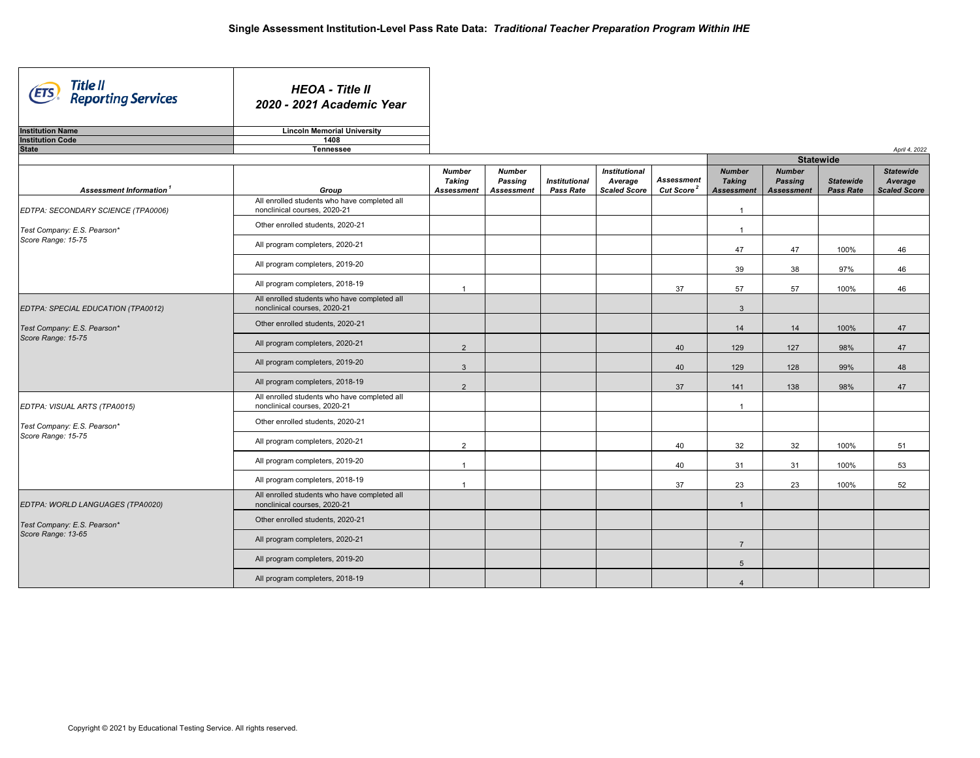| Title II<br>Reporting Services<br>(ETS | <b>HEOA - Title II</b><br>2020 - 2021 Academic Year                          |                                              |                                               |                                          |                                                        |                                             |                                                     |                                                      |                               |                                                    |
|----------------------------------------|------------------------------------------------------------------------------|----------------------------------------------|-----------------------------------------------|------------------------------------------|--------------------------------------------------------|---------------------------------------------|-----------------------------------------------------|------------------------------------------------------|-------------------------------|----------------------------------------------------|
| <b>Institution Name</b>                | <b>Lincoln Memorial University</b>                                           |                                              |                                               |                                          |                                                        |                                             |                                                     |                                                      |                               |                                                    |
| <b>Institution Code</b>                | 1408                                                                         |                                              |                                               |                                          |                                                        |                                             |                                                     |                                                      |                               |                                                    |
| <b>State</b>                           | Tennessee                                                                    |                                              |                                               |                                          |                                                        |                                             |                                                     |                                                      |                               | April 4, 2022                                      |
|                                        |                                                                              |                                              |                                               |                                          |                                                        |                                             |                                                     | <b>Statewide</b>                                     |                               |                                                    |
| Assessment Information <sup>1</sup>    | Group                                                                        | <b>Number</b><br>Taking<br><b>Assessment</b> | <b>Number</b><br>Passing<br><b>Assessment</b> | <b>Institutional</b><br><b>Pass Rate</b> | <b>Institutional</b><br>Average<br><b>Scaled Score</b> | <b>Assessment</b><br>Cut Score <sup>2</sup> | <b>Number</b><br><b>Taking</b><br><b>Assessment</b> | <b>Number</b><br><b>Passing</b><br><b>Assessment</b> | <b>Statewide</b><br>Pass Rate | <b>Statewide</b><br>Average<br><b>Scaled Score</b> |
| EDTPA: SECONDARY SCIENCE (TPA0006)     | All enrolled students who have completed all<br>nonclinical courses, 2020-21 |                                              |                                               |                                          |                                                        |                                             | $\mathbf{1}$                                        |                                                      |                               |                                                    |
| Test Company: E.S. Pearson*            | Other enrolled students, 2020-21                                             |                                              |                                               |                                          |                                                        |                                             | $\overline{1}$                                      |                                                      |                               |                                                    |
| Score Range: 15-75                     | All program completers, 2020-21                                              |                                              |                                               |                                          |                                                        |                                             | 47                                                  | 47                                                   | 100%                          | 46                                                 |
|                                        | All program completers, 2019-20                                              |                                              |                                               |                                          |                                                        |                                             | 39                                                  | 38                                                   | 97%                           | 46                                                 |
|                                        | All program completers, 2018-19                                              | $\overline{1}$                               |                                               |                                          |                                                        | 37                                          | 57                                                  | 57                                                   | 100%                          | 46                                                 |
| EDTPA: SPECIAL EDUCATION (TPA0012)     | All enrolled students who have completed all<br>nonclinical courses, 2020-21 |                                              |                                               |                                          |                                                        |                                             | $\mathbf{3}$                                        |                                                      |                               |                                                    |
| Test Company: E.S. Pearson*            | Other enrolled students, 2020-21                                             |                                              |                                               |                                          |                                                        |                                             | 14                                                  | 14                                                   | 100%                          | 47                                                 |
| Score Range: 15-75                     | All program completers, 2020-21                                              | 2                                            |                                               |                                          |                                                        | 40                                          | 129                                                 | 127                                                  | 98%                           | 47                                                 |
|                                        | All program completers, 2019-20                                              | $\mathbf{3}$                                 |                                               |                                          |                                                        | 40                                          | 129                                                 | 128                                                  | 99%                           | 48                                                 |
|                                        | All program completers, 2018-19                                              | 2                                            |                                               |                                          |                                                        | 37                                          | 141                                                 | 138                                                  | 98%                           | 47                                                 |
| EDTPA: VISUAL ARTS (TPA0015)           | All enrolled students who have completed all<br>nonclinical courses, 2020-21 |                                              |                                               |                                          |                                                        |                                             | $\overline{1}$                                      |                                                      |                               |                                                    |
| Test Company: E.S. Pearson*            | Other enrolled students, 2020-21                                             |                                              |                                               |                                          |                                                        |                                             |                                                     |                                                      |                               |                                                    |
| Score Range: 15-75                     | All program completers, 2020-21                                              | 2                                            |                                               |                                          |                                                        | 40                                          | 32                                                  | 32                                                   | 100%                          | 51                                                 |
|                                        | All program completers, 2019-20                                              | $\overline{1}$                               |                                               |                                          |                                                        | 40                                          | 31                                                  | 31                                                   | 100%                          | 53                                                 |
|                                        | All program completers, 2018-19                                              | $\overline{1}$                               |                                               |                                          |                                                        | 37                                          | 23                                                  | 23                                                   | 100%                          | 52                                                 |
| EDTPA: WORLD LANGUAGES (TPA0020)       | All enrolled students who have completed all<br>nonclinical courses, 2020-21 |                                              |                                               |                                          |                                                        |                                             | $\overline{1}$                                      |                                                      |                               |                                                    |
| Test Company: E.S. Pearson*            | Other enrolled students, 2020-21                                             |                                              |                                               |                                          |                                                        |                                             |                                                     |                                                      |                               |                                                    |
| Score Range: 13-65                     | All program completers, 2020-21                                              |                                              |                                               |                                          |                                                        |                                             | $\overline{7}$                                      |                                                      |                               |                                                    |
|                                        | All program completers, 2019-20                                              |                                              |                                               |                                          |                                                        |                                             | $5\overline{5}$                                     |                                                      |                               |                                                    |
|                                        | All program completers, 2018-19                                              |                                              |                                               |                                          |                                                        |                                             | $\overline{4}$                                      |                                                      |                               |                                                    |